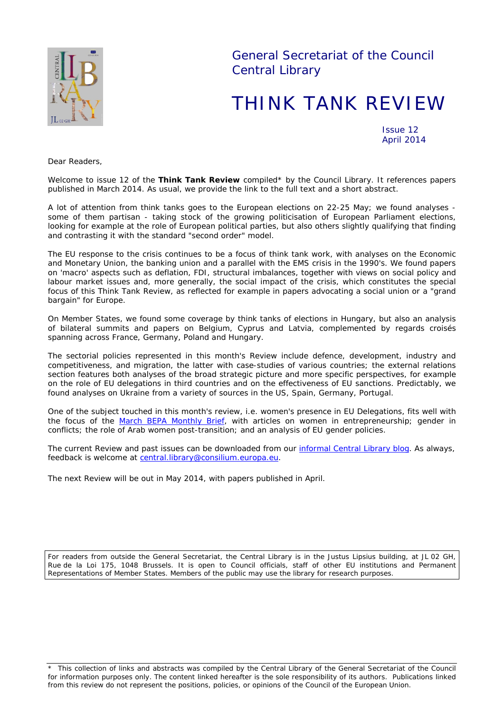

General Secretariat of the Council Central Library

# THINK TANK REVIEW

Issue 12 April 2014

*Dear Readers,*

*Welcome to issue 12 of the Think Tank Review compiled\* by the Council Library. It references papers published in March 2014. As usual, we provide the link to the full text and a short abstract.*

*A lot of attention from think tanks goes to the European elections on 22-25 May; we found analyses some of them partisan - taking stock of the growing politicisation of European Parliament elections, looking for example at the role of European political parties, but also others slightly qualifying that finding and contrasting it with the standard "second order" model.*

*The EU response to the crisis continues to be a focus of think tank work, with analyses on the Economic and Monetary Union, the banking union and a parallel with the EMS crisis in the 1990's. We found papers on 'macro' aspects such as deflation, FDI, structural imbalances, together with views on social policy and*  labour market issues and, more generally, the social impact of the crisis, which constitutes the special *focus of this Think Tank Review, as reflected for example in papers advocating a social union or a "grand bargain" for Europe.*

*On Member States, we found some coverage by think tanks of elections in Hungary, but also an analysis*  of bilateral summits and papers on Belgium, Cyprus and Latvia, complemented by regards croisés *spanning across France, Germany, Poland and Hungary.* 

*The sectorial policies represented in this month's Review include defence, development, industry and competitiveness, and migration, the latter with case-studies of various countries; the external relations section features both analyses of the broad strategic picture and more specific perspectives, for example on the role of EU delegations in third countries and on the effectiveness of EU sanctions. Predictably, we found analyses on Ukraine from a variety of sources in the US, Spain, Germany, Portugal.*

*One of the subject touched in this month's review, i.e. women's presence in EU Delegations, fits well with the focus of the [March BEPA Monthly Brief,](http://ec.europa.eu/bepa/pdf/publications_pdf/see_also/n72_march_2014.pdf) with articles on women in entrepreneurship; gender in conflicts; the role of Arab women post-transition; and an analysis of EU gender policies.* 

*The current Review and past issues can be downloaded from our [informal Central Library blog.](http://www.councillibrary.wordpress.com/) As always, feedback is welcome at [central.library@consilium.europa.eu.](mailto:central.library@consilium.europa.eu)*

*The next Review will be out in May 2014, with papers published in April.*

For readers from outside the General Secretariat, the Central Library is in the Justus Lipsius building, at JL 02 GH, Rue de la Loi 175, 1048 Brussels. It is open to Council officials, staff of other EU institutions and Permanent Representations of Member States. Members of the public may use the library for research purposes.

\* This collection of links and abstracts was compiled by the Central Library of the General Secretariat of the Council for information purposes only. The content linked hereafter is the sole responsibility of its authors. Publications linked from this review do not represent the positions, policies, or opinions of the Council of the European Union.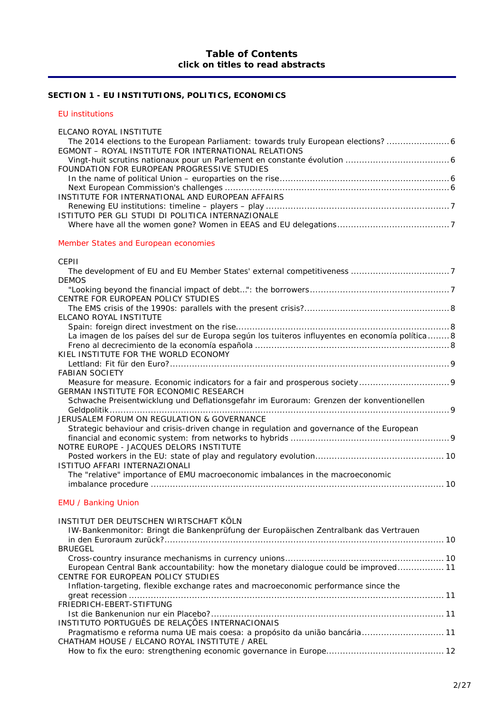# **SECTION 1 - [EU INSTITUTIONS, POLITICS, ECONOMICS](#page-5-0)**

#### *[EU institutions](#page-5-1)*

| ELCANO ROYAL INSTITUTE                                                                                                                                                                                                                                                                           |  |
|--------------------------------------------------------------------------------------------------------------------------------------------------------------------------------------------------------------------------------------------------------------------------------------------------|--|
| The 2014 elections to the European Parliament: towards truly European elections?                                                                                                                                                                                                                 |  |
| EGMONT - ROYAL INSTITUTE FOR INTERNATIONAL RELATIONS                                                                                                                                                                                                                                             |  |
|                                                                                                                                                                                                                                                                                                  |  |
| FOUNDATION FOR EUROPEAN PROGRESSIVE STUDIES                                                                                                                                                                                                                                                      |  |
|                                                                                                                                                                                                                                                                                                  |  |
|                                                                                                                                                                                                                                                                                                  |  |
| INSTITUTE FOR INTERNATIONAL AND EUROPEAN AFFAIRS                                                                                                                                                                                                                                                 |  |
|                                                                                                                                                                                                                                                                                                  |  |
| ISTITUTO PER GLI STUDI DI POLITICA INTERNAZIONALE                                                                                                                                                                                                                                                |  |
|                                                                                                                                                                                                                                                                                                  |  |
|                                                                                                                                                                                                                                                                                                  |  |
| $\mathbf{A}$ and $\mathbf{A}$ and $\mathbf{A}$ and $\mathbf{A}$ and $\mathbf{A}$ and $\mathbf{A}$ and $\mathbf{A}$ and $\mathbf{A}$ and $\mathbf{A}$ and $\mathbf{A}$ and $\mathbf{A}$ and $\mathbf{A}$ and $\mathbf{A}$ and $\mathbf{A}$ and $\mathbf{A}$ and $\mathbf{A}$ and $\mathbf{A}$ and |  |

#### *[Member States and European economies](#page-6-4)*

| CEPII                                                                                           |  |
|-------------------------------------------------------------------------------------------------|--|
|                                                                                                 |  |
| <b>DEMOS</b>                                                                                    |  |
|                                                                                                 |  |
| CENTRE FOR EUROPEAN POLICY STUDIES                                                              |  |
|                                                                                                 |  |
| ELCANO ROYAL INSTITUTE                                                                          |  |
|                                                                                                 |  |
| La imagen de los países del sur de Europa según los tuiteros influyentes en economía política 8 |  |
|                                                                                                 |  |
| KIEL INSTITUTE FOR THE WORLD ECONOMY                                                            |  |
|                                                                                                 |  |
| <b>FABIAN SOCIETY</b>                                                                           |  |
|                                                                                                 |  |
| GERMAN INSTITUTE FOR ECONOMIC RESEARCH                                                          |  |
| Schwache Preisentwicklung und Deflationsgefahr im Euroraum: Grenzen der konventionellen         |  |
|                                                                                                 |  |
| JERUSALEM FORUM ON REGULATION & GOVERNANCE                                                      |  |
| Strategic behaviour and crisis-driven change in regulation and governance of the European       |  |
|                                                                                                 |  |
| NOTRE EUROPE - JACQUES DELORS INSTITUTE                                                         |  |
|                                                                                                 |  |
| ISTITUO AFFARI INTERNAZIONALI                                                                   |  |
| The "relative" importance of EMU macroeconomic imbalances in the macroeconomic                  |  |
|                                                                                                 |  |
| <b>EMU / Banking Union</b>                                                                      |  |
| INSTITUT DER DEUTSCHEN WIRTSCHAFT KÖLN                                                          |  |
| IW-Bankenmonitor: Bringt die Bankenprüfung der Europäischen Zentralbank das Vertrauen           |  |
|                                                                                                 |  |
| <b>BRUEGEL</b>                                                                                  |  |

| European Central Bank accountability: how the monetary dialogue could be improved 11 |  |
|--------------------------------------------------------------------------------------|--|
| CENTRE FOR EUROPEAN POLICY STUDIES                                                   |  |
| Inflation-targeting, flexible exchange rates and macroeconomic performance since the |  |
|                                                                                      |  |
| FRIEDRICH-EBERT-STIFTUNG                                                             |  |
|                                                                                      |  |
| INSTITUTO PORTUGUÊS DE RELAÇÕES INTERNACIONAIS                                       |  |
| Pragmatismo e reforma numa UE mais coesa: a propósito da união bancária 11           |  |
| CHATHAM HOUSE / ELCANO ROYAL INSTITUTE / AREL                                        |  |
|                                                                                      |  |
|                                                                                      |  |

[Cross-country insurance mechanisms in currency unions..........................................................](#page-9-8) 10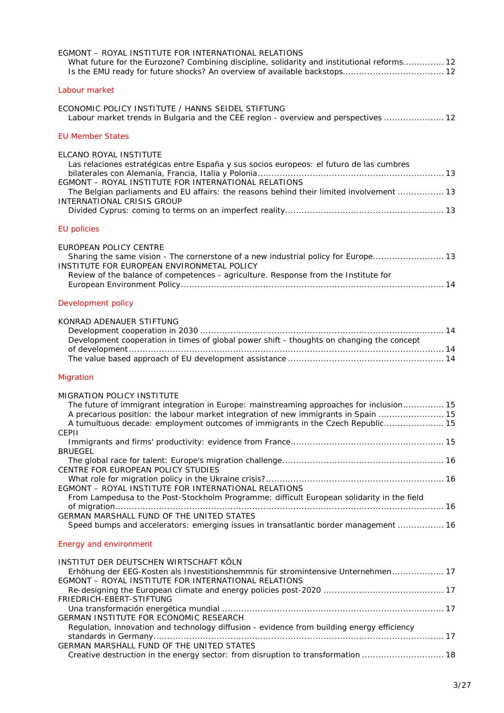| EGMONT - ROYAL INSTITUTE FOR INTERNATIONAL RELATIONS<br>What future for the Eurozone? Combining discipline, solidarity and institutional reforms 12                                                                                                                                                              |
|------------------------------------------------------------------------------------------------------------------------------------------------------------------------------------------------------------------------------------------------------------------------------------------------------------------|
| Labour market                                                                                                                                                                                                                                                                                                    |
| ECONOMIC POLICY INSTITUTE / HANNS SEIDEL STIFTUNG<br>Labour market trends in Bulgaria and the CEE region - overview and perspectives  12                                                                                                                                                                         |
| <b>EU Member States</b>                                                                                                                                                                                                                                                                                          |
| ELCANO ROYAL INSTITUTE<br>Las relaciones estratégicas entre España y sus socios europeos: el futuro de las cumbres<br>EGMONT - ROYAL INSTITUTE FOR INTERNATIONAL RELATIONS<br>The Belgian parliaments and EU affairs: the reasons behind their limited involvement  13<br>INTERNATIONAL CRISIS GROUP             |
| <b>EU</b> policies                                                                                                                                                                                                                                                                                               |
| EUROPEAN POLICY CENTRE<br>Sharing the same vision - The cornerstone of a new industrial policy for Europe 13<br>INSTITUTE FOR EUROPEAN ENVIRONMETAL POLICY<br>Review of the balance of competences - agriculture. Response from the Institute for                                                                |
| Development policy                                                                                                                                                                                                                                                                                               |
| KONRAD ADENAUER STIFTUNG<br>Development cooperation in times of global power shift - thoughts on changing the concept                                                                                                                                                                                            |
| Migration                                                                                                                                                                                                                                                                                                        |
| <b>MIGRATION POLICY INSTITUTE</b><br>The future of immigrant integration in Europe: mainstreaming approaches for inclusion 15<br>A precarious position: the labour market integration of new immigrants in Spain  15<br>A tumultuous decade: employment outcomes of immigrants in the Czech Republic 15<br>CEPII |
| <b>BRUEGEL</b>                                                                                                                                                                                                                                                                                                   |
| CENTRE FOR EUROPEAN POLICY STUDIES                                                                                                                                                                                                                                                                               |
| EGMONT - ROYAL INSTITUTE FOR INTERNATIONAL RELATIONS                                                                                                                                                                                                                                                             |
| From Lampedusa to the Post-Stockholm Programme: difficult European solidarity in the field                                                                                                                                                                                                                       |
| GERMAN MARSHALL FUND OF THE UNITED STATES<br>Speed bumps and accelerators: emerging issues in transatlantic border management  16                                                                                                                                                                                |
| <b>Energy and environment</b>                                                                                                                                                                                                                                                                                    |
| INSTITUT DER DEUTSCHEN WIRTSCHAFT KÖLN<br>Erhöhung der EEG-Kosten als Investitionshemmnis für stromintensive Unternehmen 17<br>EGMONT - ROYAL INSTITUTE FOR INTERNATIONAL RELATIONS                                                                                                                              |
| FRIEDRICH-EBERT-STIFTUNG                                                                                                                                                                                                                                                                                         |
| GERMAN INSTITUTE FOR ECONOMIC RESEARCH<br>Regulation, innovation and technology diffusion - evidence from building energy efficiency                                                                                                                                                                             |
| GERMAN MARSHALL FUND OF THE UNITED STATES                                                                                                                                                                                                                                                                        |
| Creative destruction in the energy sector: from disruption to transformation  18                                                                                                                                                                                                                                 |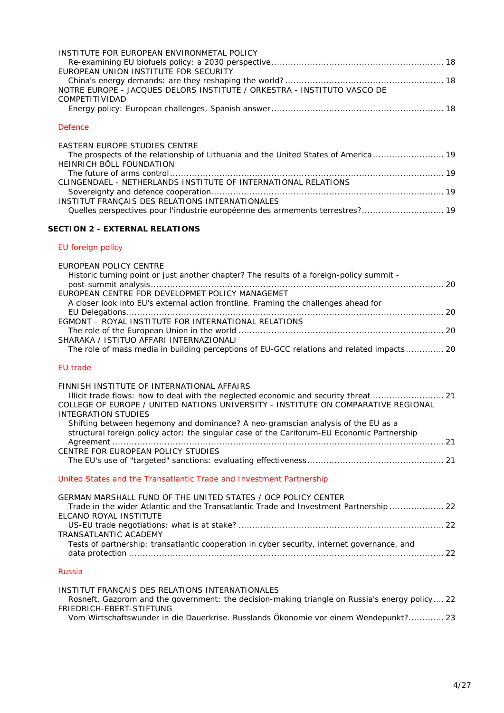| INSTITUTE FOR EUROPEAN ENVIRONMETAL POLICY                              |  |
|-------------------------------------------------------------------------|--|
|                                                                         |  |
| EUROPEAN UNION INSTITUTE FOR SECURITY                                   |  |
|                                                                         |  |
| NOTRE EUROPE - JACQUES DELORS INSTITUTE / ORKESTRA - INSTITUTO VASCO DE |  |
| COMPETITIVIDAD                                                          |  |
|                                                                         |  |

## *[Defence](#page-18-0)*

| EASTERN EUROPE STUDIES CENTRE                                                       |  |
|-------------------------------------------------------------------------------------|--|
| The prospects of the relationship of Lithuania and the United States of America  19 |  |
| HEINRICH BÖLL FOUNDATION                                                            |  |
|                                                                                     |  |
| CLINGENDAEL - NETHERLANDS INSTITUTE OF INTERNATIONAL RELATIONS                      |  |
|                                                                                     |  |
| INSTITUT FRANÇAIS DES RELATIONS INTERNATIONALES                                     |  |
| Quelles perspectives pour l'industrie européenne des armements terrestres? 19       |  |

# **SECTION 2 - [EXTERNAL RELATIONS](#page-19-0)**

## *[EU foreign policy](#page-19-1)*

| EUROPEAN POLICY CENTRE                                                                      |  |
|---------------------------------------------------------------------------------------------|--|
| Historic turning point or just another chapter? The results of a foreign-policy summit -    |  |
|                                                                                             |  |
| EUROPEAN CENTRE FOR DEVELOPMET POLICY MANAGEMET                                             |  |
| A closer look into EU's external action frontline. Framing the challenges ahead for         |  |
|                                                                                             |  |
| EGMONT - ROYAL INSTITUTE FOR INTERNATIONAL RELATIONS                                        |  |
|                                                                                             |  |
| SHARAKA / ISTITUO AFFARI INTERNAZIONALI                                                     |  |
| The role of mass media in building perceptions of EU-GCC relations and related impacts 20   |  |
|                                                                                             |  |
| <b>EU</b> trade                                                                             |  |
| FINNISH INSTITUTE OF INTERNATIONAL AFFAIRS                                                  |  |
|                                                                                             |  |
| COLLEGE OF EUROPE / UNITED NATIONS UNIVERSITY - INSTITUTE ON COMPARATIVE REGIONAL           |  |
| <b>INTEGRATION STUDIES</b>                                                                  |  |
| Shifting between hegemony and dominance? A neo-gramscian analysis of the EU as a            |  |
| structural foreign policy actor: the singular case of the Cariforum-EU Economic Partnership |  |
|                                                                                             |  |
| CENTRE FOR EUROPEAN POLICY STUDIES                                                          |  |
|                                                                                             |  |
|                                                                                             |  |
| United States and the Transatlantic Trade and Investment Partnership                        |  |
| GERMAN MARSHALL FUND OF THE UNITED STATES / OCP POLICY CENTER                               |  |
| Trade in the wider Atlantic and the Transatlantic Trade and Investment Partnership  22      |  |
| ELCANO ROYAL INSTITUTE                                                                      |  |
|                                                                                             |  |
| <b>TRANSATLANTIC ACADEMY</b>                                                                |  |
| Tests of partnership: transatlantic cooperation in cyber security, internet governance, and |  |
|                                                                                             |  |
|                                                                                             |  |
| <b>Russia</b>                                                                               |  |

# [INSTITUT FRANÇAIS DES RELATIONS INTERNATIONALES](#page-21-8) [Rosneft, Gazprom and the government: the decision-making triangle on Russia's energy policy....](#page-21-9) 22 [FRIEDRICH-EBERT-STIFTUNG](#page-22-0)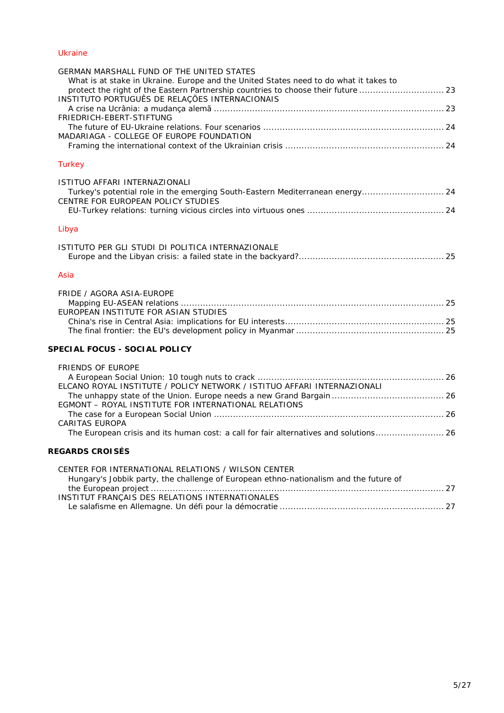## *[Ukraine](#page-22-2)*

| <b>GERMAN MARSHALL FUND OF THE UNITED STATES</b>                                                                                                                           |  |
|----------------------------------------------------------------------------------------------------------------------------------------------------------------------------|--|
| What is at stake in Ukraine. Europe and the United States need to do what it takes to<br>protect the right of the Eastern Partnership countries to choose their future  23 |  |
| INSTITUTO PORTUGUÊS DE RELAÇÕES INTERNACIONAIS                                                                                                                             |  |
|                                                                                                                                                                            |  |
| FRIEDRICH-EBERT-STIFTUNG                                                                                                                                                   |  |
| MADARIAGA - COLLEGE OF EUROPE FOUNDATION                                                                                                                                   |  |
|                                                                                                                                                                            |  |
|                                                                                                                                                                            |  |
| <b>Turkey</b>                                                                                                                                                              |  |
| ISTITUO AFFARI INTERNAZIONALI                                                                                                                                              |  |
| Turkey's potential role in the emerging South-Eastern Mediterranean energy 24                                                                                              |  |
| CENTRE FOR EUROPEAN POLICY STUDIES                                                                                                                                         |  |
|                                                                                                                                                                            |  |
| Libya                                                                                                                                                                      |  |
|                                                                                                                                                                            |  |
| ISTITUTO PER GLI STUDI DI POLITICA INTERNAZIONALE                                                                                                                          |  |
|                                                                                                                                                                            |  |
| Asia                                                                                                                                                                       |  |
| FRIDE / AGORA ASIA-EUROPE                                                                                                                                                  |  |
|                                                                                                                                                                            |  |
| EUROPEAN INSTITUTE FOR ASIAN STUDIES                                                                                                                                       |  |
|                                                                                                                                                                            |  |
|                                                                                                                                                                            |  |
| SPECIAL FOCUS - SOCIAL POLICY                                                                                                                                              |  |
| <b>FRIENDS OF EUROPE</b>                                                                                                                                                   |  |
|                                                                                                                                                                            |  |
| ELCANO ROYAL INSTITUTE / POLICY NETWORK / ISTITUO AFFARI INTERNAZIONALI                                                                                                    |  |
|                                                                                                                                                                            |  |
| EGMONT - ROYAL INSTITUTE FOR INTERNATIONAL RELATIONS                                                                                                                       |  |
| <b>CARITAS EUROPA</b>                                                                                                                                                      |  |
| The European crisis and its human cost: a call for fair alternatives and solutions 26                                                                                      |  |
| <b>REGARDS CROISÉS</b>                                                                                                                                                     |  |
|                                                                                                                                                                            |  |
| CENTER FOR INTERNATIONAL RELATIONS / WILSON CENTER<br>Hungary's Jobbik party, the challenge of European ethno-nationalism and the future of                                |  |
|                                                                                                                                                                            |  |
| INSTITUT FRANÇAIS DES RELATIONS INTERNATIONALES                                                                                                                            |  |
|                                                                                                                                                                            |  |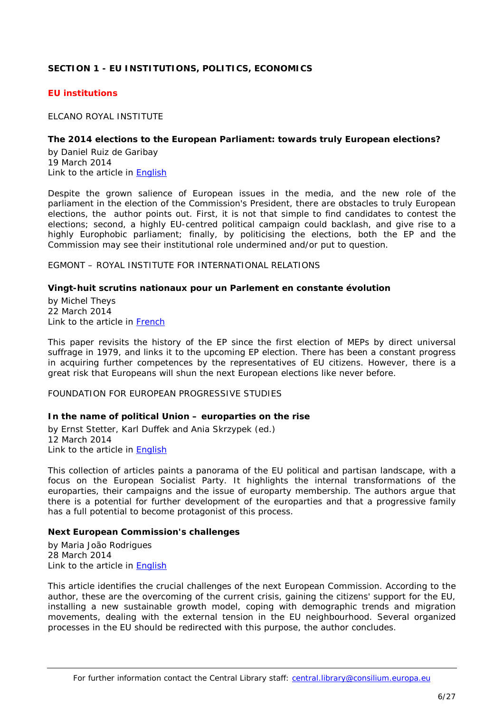# <span id="page-5-0"></span>**SECTION 1 - EU INSTITUTIONS, POLITICS, ECONOMICS**

## <span id="page-5-1"></span>*EU institutions*

<span id="page-5-2"></span>ELCANO ROYAL INSTITUTE

#### <span id="page-5-3"></span>**The 2014 elections to the European Parliament: towards truly European elections?**

by Daniel Ruiz de Garibay 19 March 2014 Link to the article in [English](http://www.realinstitutoelcano.org/wps/wcm/connect/697ef50043531d03aabbba314d72f5eb/ARI17-2014-Ruiz-de-Garibay-2014-elections-European-Parliament.pdf?MOD=AJPERES&CACHEID=697ef50043531d03aabbba314d72f5eb)

Despite the grown salience of European issues in the media, and the new role of the parliament in the election of the Commission's President, there are obstacles to truly European elections, the author points out. First, it is not that simple to find candidates to contest the elections; second, a highly EU-centred political campaign could backlash, and give rise to a highly Europhobic parliament; finally, by politicising the elections, both the EP and the Commission may see their institutional role undermined and/or put to question.

<span id="page-5-4"></span>EGMONT – ROYAL INSTITUTE FOR INTERNATIONAL RELATIONS

#### <span id="page-5-5"></span>**Vingt-huit scrutins nationaux pour un Parlement en constante évolution**

by Michel Theys 22 March 2014 Link to the article in [French](http://www.egmontinstitute.be/wp-content/uploads/2014/03/EPB-26-FR.pdf)

This paper revisits the history of the EP since the first election of MEPs by direct universal suffrage in 1979, and links it to the upcoming EP election. There has been a constant progress in acquiring further competences by the representatives of EU citizens. However, there is a great risk that Europeans will shun the next European elections like never before.

<span id="page-5-7"></span><span id="page-5-6"></span>FOUNDATION FOR EUROPEAN PROGRESSIVE STUDIES

## **In the name of political Union – europarties on the rise**

by Ernst Stetter, Karl Duffek and Ania Skrzypek (ed.) 12 March 2014 Link to the article in [English](http://www.feps-europe.eu/assets/bd89a16a-d4bf-48c8-a10f-f5d38a2aeeab/in-the-name-of-political-union-europarties-on-the-rise.pdf)

This collection of articles paints a panorama of the EU political and partisan landscape, with a focus on the European Socialist Party. It highlights the internal transformations of the europarties, their campaigns and the issue of europarty membership. The authors argue that there is a potential for further development of the europarties and that a progressive family has a full potential to become protagonist of this process.

## <span id="page-5-8"></span>**Next European Commission's challenges**

by Maria João Rodrigues 28 March 2014 Link to the article in [English](http://www.feps-europe.eu/assets/95824ce7-6008-4021-ba6b-3a37f5ebd198/2014_march_maria%20joao%20rodrigues_next%20european%20commission%e2%80%99s%20challenges.pdf)

This article identifies the crucial challenges of the next European Commission. According to the author, these are the overcoming of the current crisis, gaining the citizens' support for the EU, installing a new sustainable growth model, coping with demographic trends and migration movements, dealing with the external tension in the EU neighbourhood. Several organized processes in the EU should be redirected with this purpose, the author concludes.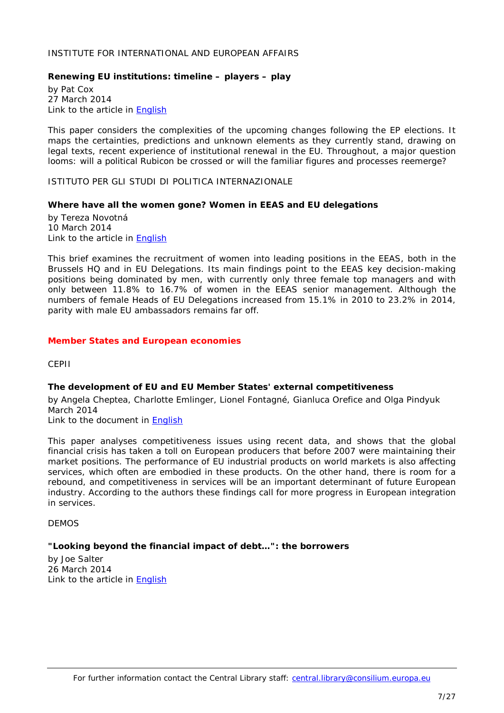#### <span id="page-6-0"></span>INSTITUTE FOR INTERNATIONAL AND EUROPEAN AFFAIRS

## <span id="page-6-1"></span>**Renewing EU institutions: timeline – players – play**

by Pat Cox 27 March 2014 Link to the article in [English](http://www.iiea.com/ftp/Publications/2014/renewing-eu-institutions_pat-cox_iiea-march-2014.pdf)

This paper considers the complexities of the upcoming changes following the EP elections. It maps the certainties, predictions and unknown elements as they currently stand, drawing on legal texts, recent experience of institutional renewal in the EU. Throughout, a major question looms: will a political Rubicon be crossed or will the familiar figures and processes reemerge?

<span id="page-6-2"></span>ISTITUTO PER GLI STUDI DI POLITICA INTERNAZIONALE

## <span id="page-6-3"></span>**Where have all the women gone? Women in EEAS and EU delegations**

by Tereza Novotná 10 March 2014 Link to the article in [English](http://www.ispionline.it/sites/default/files/pubblicazioni/analysis_239__2014.pdf)

This brief examines the recruitment of women into leading positions in the EEAS, both in the Brussels HQ and in EU Delegations. Its main findings point to the EEAS key decision-making positions being dominated by men, with currently only three female top managers and with only between 11.8% to 16.7% of women in the EEAS senior management. Although the numbers of female Heads of EU Delegations increased from 15.1% in 2010 to 23.2% in 2014, parity with male EU ambassadors remains far off.

#### <span id="page-6-5"></span><span id="page-6-4"></span>*Member States and European economies*

CEPII

## <span id="page-6-6"></span>**The development of EU and EU Member States' external competitiveness**

by Angela Cheptea, Charlotte Emlinger, Lionel Fontagné, Gianluca Orefice and Olga Pindyuk March 2014

Link to the document in [English](http://www.cepii.fr/PDF_PUB/wp/2014/wp2014-06.pdf)

This paper analyses competitiveness issues using recent data, and shows that the global financial crisis has taken a toll on European producers that before 2007 were maintaining their market positions. The performance of EU industrial products on world markets is also affecting services, which often are embodied in these products. On the other hand, there is room for a rebound, and competitiveness in services will be an important determinant of future European industry. According to the authors these findings call for more progress in European integration in services.

#### <span id="page-6-7"></span>DEMOS

## <span id="page-6-8"></span>**"Looking beyond the financial impact of debt…": the borrowers**

by Joe Salter 26 March 2014 Link to the article in [English](http://www.demos.co.uk/files/TheBorrowers_REPORT.pdf?1395871961)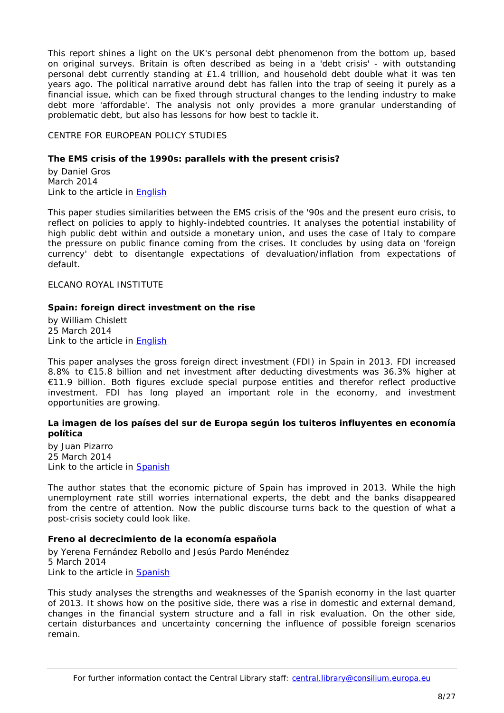This report shines a light on the UK's personal debt phenomenon from the bottom up, based on original surveys. Britain is often described as being in a 'debt crisis' - with outstanding personal debt currently standing at £1.4 trillion, and household debt double what it was ten years ago. The political narrative around debt has fallen into the trap of seeing it purely as a financial issue, which can be fixed through structural changes to the lending industry to make debt more 'affordable'. The analysis not only provides a more granular understanding of problematic debt, but also has lessons for how best to tackle it.

<span id="page-7-0"></span>CENTRE FOR EUROPEAN POLICY STUDIES

## <span id="page-7-1"></span>**The EMS crisis of the 1990s: parallels with the present crisis?**

by Daniel Gros March 2014 Link to the article in [English](http://www.ceps.be/ceps/dld/9119/pdf)

This paper studies similarities between the EMS crisis of the '90s and the present euro crisis, to reflect on policies to apply to highly-indebted countries. It analyses the potential instability of high public debt within and outside a monetary union, and uses the case of Italy to compare the pressure on public finance coming from the crises. It concludes by using data on 'foreign currency' debt to disentangle expectations of devaluation/inflation from expectations of default.

<span id="page-7-2"></span>ELCANO ROYAL INSTITUTE

#### <span id="page-7-3"></span>**Spain: foreign direct investment on the rise**

by William Chislett 25 March 2014 Link to the article in [English](http://www.realinstitutoelcano.org/wps/wcm/connect/7f8bbb004365e65cada1bd314d72f5eb/ARI19-2014-Chislett-Spain-foreign-direct-investment-on-the-rise.pdf?MOD=AJPERES&CACHEID=7f8bbb004365e65cada1bd314d72f5eb)

This paper analyses the gross foreign direct investment (FDI) in Spain in 2013. FDI increased 8.8% to €15.8 billion and net investment after deducting divestments was 36.3% higher at €11.9 billion. Both figures exclude special purpose entities and therefor reflect productive investment. FDI has long played an important role in the economy, and investment opportunities are growing.

## <span id="page-7-4"></span>**La imagen de los países del sur de Europa según los tuiteros influyentes en economía política**

by Juan Pizarro 25 March 2014 Link to the article in **Spanish** 

The author states that the economic picture of Spain has improved in 2013. While the high unemployment rate still worries international experts, the debt and the banks disappeared from the centre of attention. Now the public discourse turns back to the question of what a post-crisis society could look like.

## <span id="page-7-5"></span>**Freno al decrecimiento de la economía española**

by Yerena Fernández Rebollo and Jesús Pardo Menéndez 5 March 2014 Link to the article in **Spanish** 

This study analyses the strengths and weaknesses of the Spanish economy in the last quarter of 2013. It shows how on the positive side, there was a rise in domestic and external demand, changes in the financial system structure and a fall in risk evaluation. On the other side, certain disturbances and uncertainty concerning the influence of possible foreign scenarios remain.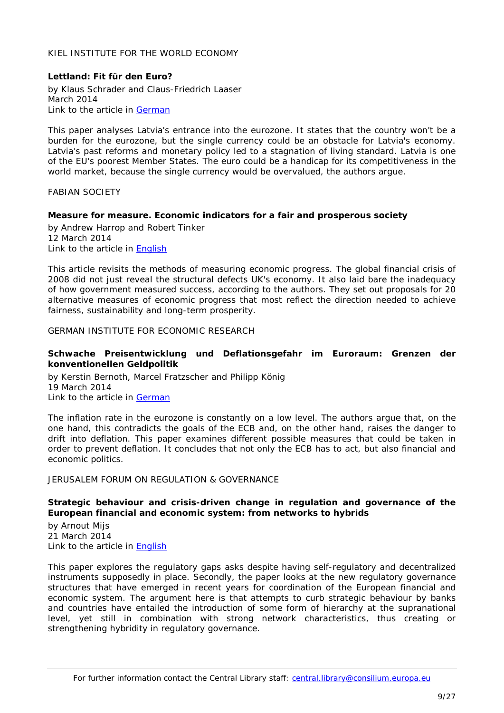## <span id="page-8-0"></span>KIEL INSTITUTE FOR THE WORLD ECONOMY

## <span id="page-8-1"></span>**Lettland: Fit für den Euro?**

by Klaus Schrader and Claus-Friedrich Laaser March 2014 Link to the article in [German](http://www.ifw-kiel.de/pub/kd/2014/kd532-533.pdf)

This paper analyses Latvia's entrance into the eurozone. It states that the country won't be a burden for the eurozone, but the single currency could be an obstacle for Latvia's economy. Latvia's past reforms and monetary policy led to a stagnation of living standard. Latvia is one of the EU's poorest Member States. The euro could be a handicap for its competitiveness in the world market, because the single currency would be overvalued, the authors argue.

## <span id="page-8-2"></span>FABIAN SOCIETY

## <span id="page-8-3"></span>**Measure for measure. Economic indicators for a fair and prosperous society**

by Andrew Harrop and Robert Tinker 12 March 2014 Link to the article in [English](http://www.fabians.org.uk/wp-content/uploads/2014/03/MeasureforMeasure_PDF_FINAL.pdf)

This article revisits the methods of measuring economic progress. The global financial crisis of 2008 did not just reveal the structural defects UK's economy. It also laid bare the inadequacy of how government measured success, according to the authors. They set out proposals for 20 alternative measures of economic progress that most reflect the direction needed to achieve fairness, sustainability and long-term prosperity.

<span id="page-8-4"></span>GERMAN INSTITUTE FOR ECONOMIC RESEARCH

#### <span id="page-8-5"></span>**Schwache Preisentwicklung und Deflationsgefahr im Euroraum: Grenzen der konventionellen Geldpolitik**

by Kerstin Bernoth, Marcel Fratzscher and Philipp König 19 March 2014 Link to the article in [German](http://www.diw.de/documents/publikationen/73/diw_01.c.440671.de/14-12-1.pdf)

The inflation rate in the eurozone is constantly on a low level. The authors argue that, on the one hand, this contradicts the goals of the ECB and, on the other hand, raises the danger to drift into deflation. This paper examines different possible measures that could be taken in order to prevent deflation. It concludes that not only the ECB has to act, but also financial and economic politics.

## <span id="page-8-6"></span>JERUSALEM FORUM ON REGULATION & GOVERNANCE

## <span id="page-8-7"></span>**Strategic behaviour and crisis-driven change in regulation and governance of the European financial and economic system: from networks to hybrids**

by Arnout Mijs 21 March 2014 Link to the article in [English](http://www.clingendael.nl/sites/default/files/Jerusalem%20Papers%20in%20Regulation%20and%20Governance%2C%20Strategic%20Behaviour%20and%20Crisis-Driven%20Change%20in%20Regulation%20and%20Governance%20of%20the%20European%20Financial%20and%20Economic%20System%20From%20Networks%20to%20Hybrids.pdf)

This paper explores the regulatory gaps asks despite having self-regulatory and decentralized instruments supposedly in place. Secondly, the paper looks at the new regulatory governance structures that have emerged in recent years for coordination of the European financial and economic system. The argument here is that attempts to curb strategic behaviour by banks and countries have entailed the introduction of some form of hierarchy at the supranational level, yet still in combination with strong network characteristics, thus creating or strengthening hybridity in regulatory governance.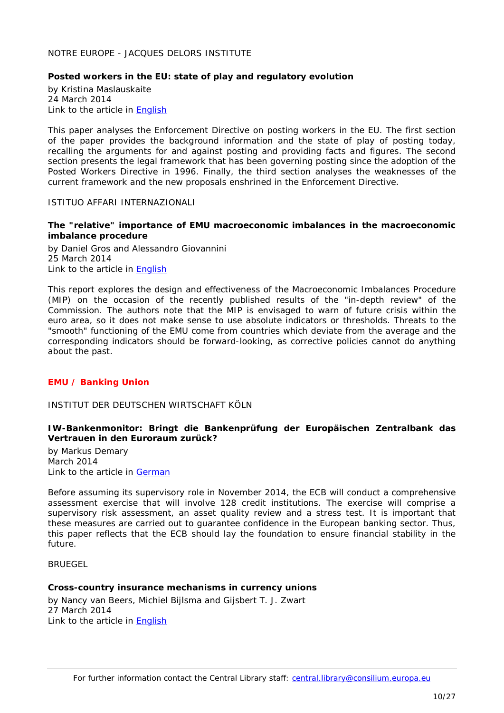## <span id="page-9-0"></span>NOTRE EUROPE - JACQUES DELORS INSTITUTE

## <span id="page-9-1"></span>**Posted workers in the EU: state of play and regulatory evolution**

by Kristina Maslauskaite 24 March 2014 Link to the article in [English](http://www.eng.notre-europe.eu/media/postedworkers-maslauskaite-ne-jdi-mar14.pdf)

This paper analyses the Enforcement Directive on posting workers in the EU. The first section of the paper provides the background information and the state of play of posting today, recalling the arguments for and against posting and providing facts and figures. The second section presents the legal framework that has been governing posting since the adoption of the Posted Workers Directive in 1996. Finally, the third section analyses the weaknesses of the current framework and the new proposals enshrined in the Enforcement Directive.

#### <span id="page-9-2"></span>ISTITUO AFFARI INTERNAZIONALI

#### <span id="page-9-3"></span>**The "relative" importance of EMU macroeconomic imbalances in the macroeconomic imbalance procedure**

by Daniel Gros and Alessandro Giovannini 25 March 2014 Link to the article in [English](http://www.iai.it/pdf/DocIAI/iai1402.pdf)

This report explores the design and effectiveness of the Macroeconomic Imbalances Procedure (MIP) on the occasion of the recently published results of the "in-depth review" of the Commission. The authors note that the MIP is envisaged to warn of future crisis within the euro area, so it does not make sense to use absolute indicators or thresholds. Threats to the "smooth" functioning of the EMU come from countries which deviate from the average and the corresponding indicators should be forward-looking, as corrective policies cannot do anything about the past.

## <span id="page-9-4"></span>*EMU / Banking Union*

## <span id="page-9-5"></span>INSTITUT DER DEUTSCHEN WIRTSCHAFT KÖLN

## <span id="page-9-6"></span>**IW-Bankenmonitor: Bringt die Bankenprüfung der Europäischen Zentralbank das Vertrauen in den Euroraum zurück?**

by Markus Demary March 2014 Link to the article in [German](http://www.etracker.de/lnkcnt.php?et=lKbSM9&url=http%3A%2F%2Fwww.iwkoeln.de%2F_storage%2Fasset%2F150280%2Fstorage%2Fmaster%2Ffile%2F4290508%2Fdownload%2FTR-1-2014-Demary.pdf&lnkname=TR-1-2014-Demary.pdf)

Before assuming its supervisory role in November 2014, the ECB will conduct a comprehensive assessment exercise that will involve 128 credit institutions. The exercise will comprise a supervisory risk assessment, an asset quality review and a stress test. It is important that these measures are carried out to guarantee confidence in the European banking sector. Thus, this paper reflects that the ECB should lay the foundation to ensure financial stability in the future.

<span id="page-9-8"></span><span id="page-9-7"></span>**BRUEGEL** 

## **Cross-country insurance mechanisms in currency unions**

by Nancy van Beers, Michiel Bijlsma and Gijsbert T. J. Zwart 27 March 2014 Link to the article in [English](http://www.bruegel.org/download/parent/821-cross-country-insurance-mechanisms-in-currency-unions/file/1718-cross-country-insurance-mechanisms-in-currency-unions/)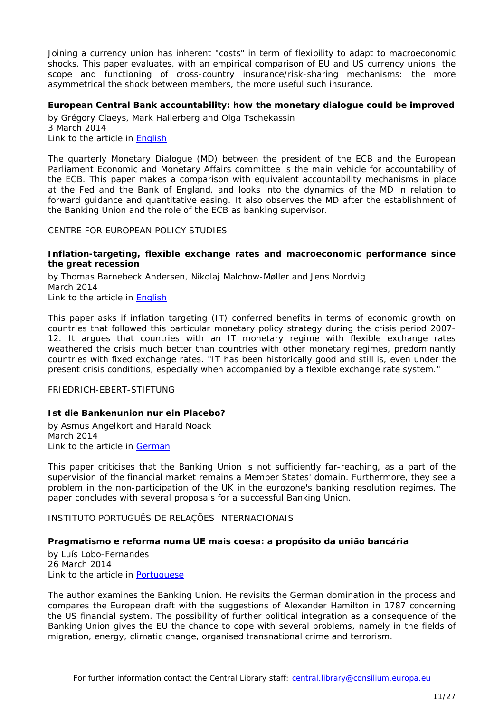Joining a currency union has inherent "costs" in term of flexibility to adapt to macroeconomic shocks. This paper evaluates, with an empirical comparison of EU and US currency unions, the scope and functioning of cross-country insurance/risk-sharing mechanisms: the more asymmetrical the shock between members, the more useful such insurance.

## <span id="page-10-0"></span>**European Central Bank accountability: how the monetary dialogue could be improved**

by Grégory Claeys, Mark Hallerberg and Olga Tschekassin 3 March 2014 Link to the article in [English](http://www.bruegel.org/download/parent/818-european-central-bank-accountability-how-the-monetary-dialogue-could-be-improved/file/1714-european-central-bank-accountability-how-the-monetary-dialogue-could-be-improved/)

The quarterly Monetary Dialogue (MD) between the president of the ECB and the European Parliament Economic and Monetary Affairs committee is the main vehicle for accountability of the ECB. This paper makes a comparison with equivalent accountability mechanisms in place at the Fed and the Bank of England, and looks into the dynamics of the MD in relation to forward guidance and quantitative easing. It also observes the MD after the establishment of the Banking Union and the role of the ECB as banking supervisor.

## <span id="page-10-1"></span>CENTRE FOR EUROPEAN POLICY STUDIES

#### <span id="page-10-2"></span>**Inflation-targeting, flexible exchange rates and macroeconomic performance since the great recession**

by Thomas Barnebeck Andersen, Nikolaj Malchow-Møller and Jens Nordvig March 2014 Link to the article in [English](http://www.ceps.be/ceps/dld/9116/pdf)

This paper asks if inflation targeting (IT) conferred benefits in terms of economic growth on countries that followed this particular monetary policy strategy during the crisis period 2007- 12. It argues that countries with an IT monetary regime with flexible exchange rates weathered the crisis much better than countries with other monetary regimes, predominantly countries with fixed exchange rates. "IT has been historically good and still is, even under the present crisis conditions, especially when accompanied by a flexible exchange rate system."

<span id="page-10-3"></span>FRIEDRICH-EBERT-STIFTUNG

# <span id="page-10-4"></span>**Ist die Bankenunion nur ein Placebo?**

by Asmus Angelkort and Harald Noack March 2014 Link to the article in [German](http://library.fes.de/pdf-files/managerkreis/10613-20140404.pdf)

This paper criticises that the Banking Union is not sufficiently far-reaching, as a part of the supervision of the financial market remains a Member States' domain. Furthermore, they see a problem in the non-participation of the UK in the eurozone's banking resolution regimes. The paper concludes with several proposals for a successful Banking Union.

<span id="page-10-5"></span>INSTITUTO PORTUGUÊS DE RELAÇÕES INTERNACIONAIS

## <span id="page-10-6"></span>**Pragmatismo e reforma numa UE mais coesa: a propósito da união bancária**

by Luís Lobo-Fernandes 26 March 2014 Link to the article in [Portuguese](http://www.ipri.pt/publicacoes/working_paper/pdf/OP58_UE_LLF_260314.pdf)

The author examines the Banking Union. He revisits the German domination in the process and compares the European draft with the suggestions of Alexander Hamilton in 1787 concerning the US financial system. The possibility of further political integration as a consequence of the Banking Union gives the EU the chance to cope with several problems, namely in the fields of migration, energy, climatic change, organised transnational crime and terrorism.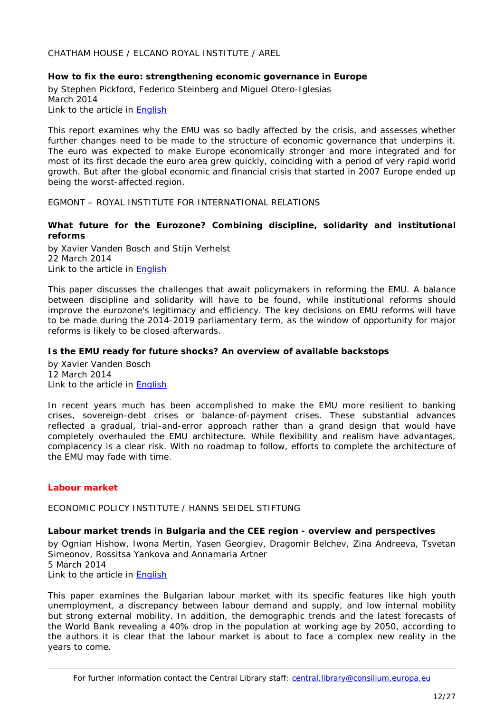<span id="page-11-0"></span>CHATHAM HOUSE / ELCANO ROYAL INSTITUTE / AREL

## <span id="page-11-1"></span>**How to fix the euro: strengthening economic governance in Europe**

by Stephen Pickford, Federico Steinberg and Miguel Otero-Iglesias March 2014 Link to the article in [English](http://www.chathamhouse.org/sites/default/files/home/chatham/public_html/sites/default/files/20140300FixTheEuroPickfordSteinbergIglesias.pdf)

This report examines why the EMU was so badly affected by the crisis, and assesses whether further changes need to be made to the structure of economic governance that underpins it. The euro was expected to make Europe economically stronger and more integrated and for most of its first decade the euro area grew quickly, coinciding with a period of very rapid world growth. But after the global economic and financial crisis that started in 2007 Europe ended up being the worst-affected region.

<span id="page-11-2"></span>EGMONT – ROYAL INSTITUTE FOR INTERNATIONAL RELATIONS

## <span id="page-11-3"></span>**What future for the Eurozone? Combining discipline, solidarity and institutional reforms**

by Xavier Vanden Bosch and Stijn Verhelst 22 March 2014 Link to the article in [English](http://www.egmontinstitute.be/wp-content/uploads/2014/03/EPB-27.pdf)

This paper discusses the challenges that await policymakers in reforming the EMU. A balance between discipline and solidarity will have to be found, while institutional reforms should improve the eurozone's legitimacy and efficiency. The key decisions on EMU reforms will have to be made during the 2014-2019 parliamentary term, as the window of opportunity for major reforms is likely to be closed afterwards.

## <span id="page-11-4"></span>**Is the EMU ready for future shocks? An overview of available backstops**

by Xavier Vanden Bosch 12 March 2014 Link to the article in [English](http://www.egmontinstitute.be/wp-content/uploads/2014/03/EPB20.pdf)

In recent years much has been accomplished to make the EMU more resilient to banking crises, sovereign-debt crises or balance-of-payment crises. These substantial advances reflected a gradual, trial-and-error approach rather than a grand design that would have completely overhauled the EMU architecture. While flexibility and realism have advantages, complacency is a clear risk. With no roadmap to follow, efforts to complete the architecture of the EMU may fade with time.

# <span id="page-11-6"></span><span id="page-11-5"></span>*Labour market*

ECONOMIC POLICY INSTITUTE / HANNS SEIDEL STIFTUNG

## <span id="page-11-7"></span>**Labour market trends in Bulgaria and the CEE region - overview and perspectives**

by Ognian Hishow, Iwona Mertin, Yasen Georgiev, Dragomir Belchev, Zina Andreeva, Tsvetan Simeonov, Rossitsa Yankova and Annamaria Artner 5 March 2014 Link to the article in [English](http://epi-bg.org/images/Books/eng_labour_market_trends_in_bulgaria_and_cee_region.pdf)

This paper examines the Bulgarian labour market with its specific features like high youth unemployment, a discrepancy between labour demand and supply, and low internal mobility but strong external mobility. In addition, the demographic trends and the latest forecasts of the World Bank revealing a 40% drop in the population at working age by 2050, according to the authors it is clear that the labour market is about to face a complex new reality in the years to come.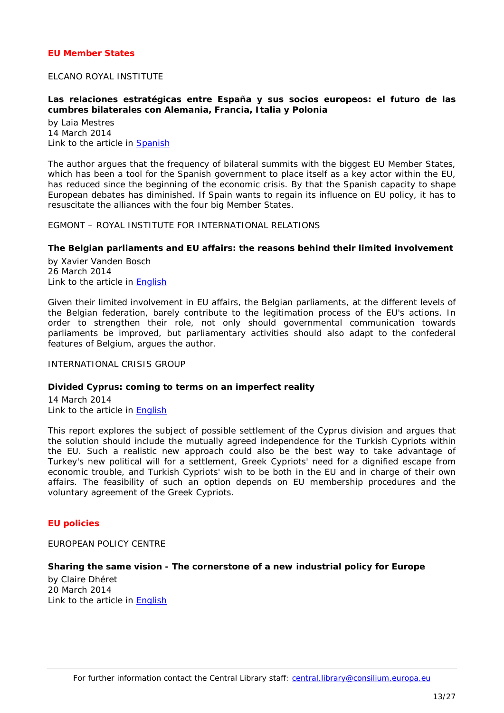## <span id="page-12-0"></span>*EU Member States*

#### <span id="page-12-1"></span>ELCANO ROYAL INSTITUTE

#### <span id="page-12-2"></span>**Las relaciones estratégicas entre España y sus socios europeos: el futuro de las cumbres bilaterales con Alemania, Francia, Italia y Polonia**

by Laia Mestres 14 March 2014 Link to the article in [Spanish](http://www.realinstitutoelcano.org/wps/wcm/connect/9dfa8500434387188ed9fe788bd2636c/EEE9-2014-Mestres-relaciones-estrategicas-Espana-socios-europeos-Alemania-Francia-Italia-Polonia.pdf?MOD=AJPERES&CACHEID=9dfa8500434387188ed9fe788bd2636c)

The author argues that the frequency of bilateral summits with the biggest EU Member States, which has been a tool for the Spanish government to place itself as a key actor within the EU, has reduced since the beginning of the economic crisis. By that the Spanish capacity to shape European debates has diminished. If Spain wants to regain its influence on EU policy, it has to resuscitate the alliances with the four big Member States.

<span id="page-12-3"></span>EGMONT – ROYAL INSTITUTE FOR INTERNATIONAL RELATIONS

#### <span id="page-12-4"></span>**The Belgian parliaments and EU affairs: the reasons behind their limited involvement**

by Xavier Vanden Bosch 26 March 2014 Link to the article in **English** 

Given their limited involvement in EU affairs, the Belgian parliaments, at the different levels of the Belgian federation, barely contribute to the legitimation process of the EU's actions. In order to strengthen their role, not only should governmental communication towards parliaments be improved, but parliamentary activities should also adapt to the confederal features of Belgium, argues the author.

<span id="page-12-5"></span>INTERNATIONAL CRISIS GROUP

#### <span id="page-12-6"></span>**Divided Cyprus: coming to terms on an imperfect reality**

14 March 2014 Link to the article in [English](http://www.crisisgroup.org/~/media/Files/europe/turkey-cyprus/cyprus/229-divided-cyprus-coming-to-terms-on-an-imperfect-reality.pdf)

This report explores the subject of possible settlement of the Cyprus division and argues that the solution should include the mutually agreed independence for the Turkish Cypriots within the EU. Such a realistic new approach could also be the best way to take advantage of Turkey's new political will for a settlement, Greek Cypriots' need for a dignified escape from economic trouble, and Turkish Cypriots' wish to be both in the EU and in charge of their own affairs. The feasibility of such an option depends on EU membership procedures and the voluntary agreement of the Greek Cypriots.

## <span id="page-12-8"></span><span id="page-12-7"></span>*EU policies*

EUROPEAN POLICY CENTRE

#### <span id="page-12-9"></span>**Sharing the same vision - The cornerstone of a new industrial policy for Europe**

by Claire Dhéret 20 March 2014 Link to the article in [English](http://www.epc.eu/documents/uploads/pub_4279_sharing_the_same_vision.pdf)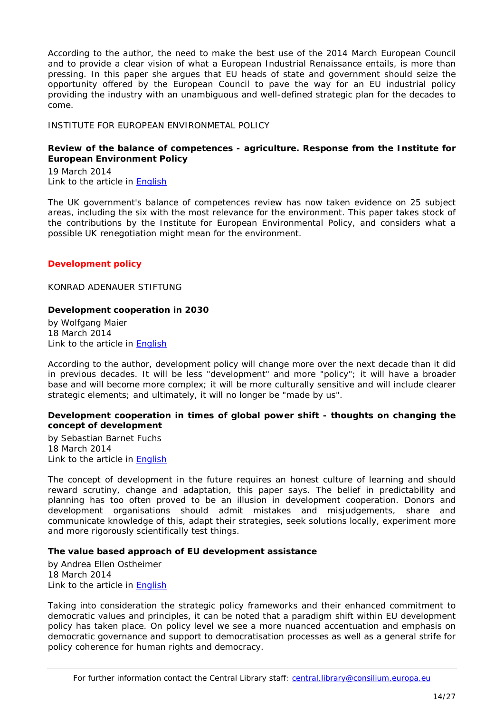According to the author, the need to make the best use of the 2014 March European Council and to provide a clear vision of what a *European Industrial Renaissance* entails, is more than pressing. In this paper she argues that EU heads of state and government should seize the opportunity offered by the European Council to pave the way for an EU industrial policy providing the industry with an unambiguous and well-defined strategic plan for the decades to come.

## <span id="page-13-0"></span>INSTITUTE FOR EUROPEAN ENVIRONMETAL POLICY

## <span id="page-13-1"></span>**Review of the balance of competences - agriculture. Response from the Institute for European Environment Policy**

19 March 2014 Link to the article in [English](http://www.ieep.eu/assets/1364/BoC_Review__Ag_response.pdf)

The UK government's balance of competences review has now taken evidence on 25 subject areas, including the six with the most relevance for the environment. This paper takes stock of the contributions by the Institute for European Environmental Policy, and considers what a possible UK renegotiation might mean for the environment.

## <span id="page-13-2"></span>*Development policy*

<span id="page-13-3"></span>KONRAD ADENAUER STIFTUNG

## <span id="page-13-4"></span>**Development cooperation in 2030**

by Wolfgang Maier 18 March 2014 Link to the article in [English](http://www.kas.de/wf/doc/kas_37135-544-2-30.pdf?140319094243)

According to the author, development policy will change more over the next decade than it did in previous decades. It will be less "development" and more "policy"; it will have a broader base and will become more complex; it will be more culturally sensitive and will include clearer strategic elements; and ultimately, it will no longer be "made by us".

## <span id="page-13-5"></span>**Development cooperation in times of global power shift - thoughts on changing the concept of development**

by Sebastian Barnet Fuchs 18 March 2014 Link to the article in [English](http://www.kas.de/wf/doc/kas_37136-544-2-30.pdf?140319094300)

The concept of development in the future requires an honest culture of learning and should reward scrutiny, change and adaptation, this paper says. The belief in predictability and planning has too often proved to be an illusion in development cooperation. Donors and development organisations should admit mistakes and misjudgements, share and communicate knowledge of this, adapt their strategies, seek solutions locally, experiment more and more rigorously scientifically test things.

## <span id="page-13-6"></span>**The value based approach of EU development assistance**

by Andrea Ellen Ostheimer 18 March 2014 Link to the article in [English](http://www.kas.de/wf/doc/kas_37137-544-2-30.pdf)

Taking into consideration the strategic policy frameworks and their enhanced commitment to democratic values and principles, it can be noted that a paradigm shift within EU development policy has taken place. On policy level we see a more nuanced accentuation and emphasis on democratic governance and support to democratisation processes as well as a general strife for policy coherence for human rights and democracy.

For further information contact the Central Library staff: central.library@consilium.europa.eu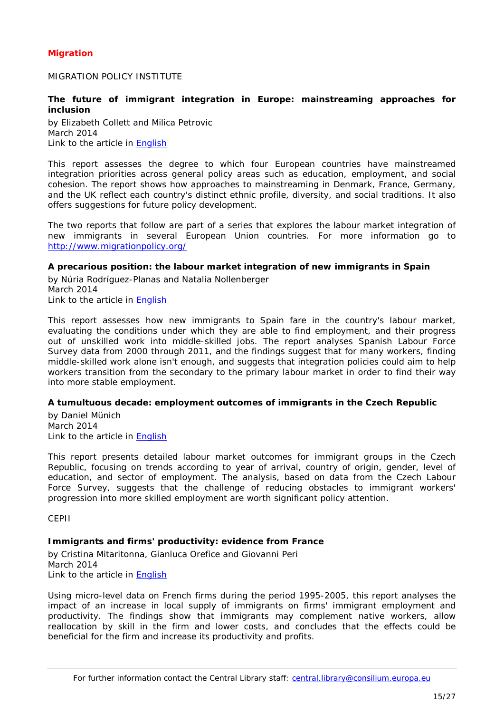# <span id="page-14-0"></span>*Migration*

<span id="page-14-1"></span>MIGRATION POLICY INSTITUTE

## <span id="page-14-2"></span>**The future of immigrant integration in Europe: mainstreaming approaches for inclusion**

by Elizabeth Collett and Milica Petrovic March 2014 Link to the article in [English](http://www.migrationpolicy.org/sites/default/files/publications/Mainstreaming-General-Report-FINALWEB_0.pdf)

This report assesses the degree to which four European countries have mainstreamed integration priorities across general policy areas such as education, employment, and social cohesion. The report shows how approaches to mainstreaming in Denmark, France, Germany, and the UK reflect each country's distinct ethnic profile, diversity, and social traditions. It also offers suggestions for future policy development.

The two reports that follow are part of a series that explores the labour market integration of *new immigrants in several European Union countries. For more information go to <http://www.migrationpolicy.org/>*

#### <span id="page-14-3"></span>**A precarious position: the labour market integration of new immigrants in Spain**

by Núria Rodríguez-Planas and Natalia Nollenberger March 2014 Link to the article in [English](http://www.migrationpolicy.org/sites/default/files/publications/DG-Employment-Spain-FINALWEB.pdf)

This report assesses how new immigrants to Spain fare in the country's labour market, evaluating the conditions under which they are able to find employment, and their progress out of unskilled work into middle-skilled jobs. The report analyses Spanish Labour Force Survey data from 2000 through 2011, and the findings suggest that for many workers, finding middle-skilled work alone isn't enough, and suggests that integration policies could aim to help workers transition from the secondary to the primary labour market in order to find their way into more stable employment.

## <span id="page-14-4"></span>**A tumultuous decade: employment outcomes of immigrants in the Czech Republic**

by Daniel Münich March 2014 Link to the article in [English](http://www.migrationpolicy.org/sites/default/files/publications/DG-Employment-Czech-Republic-FINALWEB.pdf)

This report presents detailed labour market outcomes for immigrant groups in the Czech Republic, focusing on trends according to year of arrival, country of origin, gender, level of education, and sector of employment. The analysis, based on data from the Czech Labour Force Survey, suggests that the challenge of reducing obstacles to immigrant workers' progression into more skilled employment are worth significant policy attention.

<span id="page-14-5"></span>CEPII

## <span id="page-14-6"></span>**Immigrants and firms' productivity: evidence from France**

by Cristina Mitaritonna, Gianluca Orefice and Giovanni Peri March 2014 Link to the article in [English](http://www.cepii.fr/PDF_PUB/wp/2014/wp2014-09.pdf)

Using micro-level data on French firms during the period 1995-2005, this report analyses the impact of an increase in local supply of immigrants on firms' immigrant employment and productivity. The findings show that immigrants may complement native workers, allow reallocation by skill in the firm and lower costs, and concludes that the effects could be beneficial for the firm and increase its productivity and profits.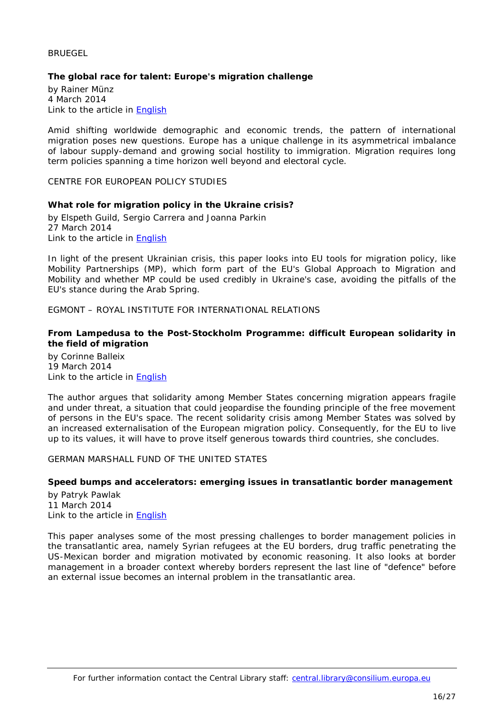#### <span id="page-15-0"></span>**BRUEGEL**

## <span id="page-15-1"></span>**The global race for talent: Europe's migration challenge**

by Rainer Münz 4 March 2014 Link to the article in [English](http://www.bruegel.org/download/parent/819-the-global-race-for-talent-europes-migration-challenge/file/1715-the-global-race-for-talent-europes-migration-challenge/)

Amid shifting worldwide demographic and economic trends, the pattern of international migration poses new questions. Europe has a unique challenge in its asymmetrical imbalance of labour supply-demand and growing social hostility to immigration. Migration requires long term policies spanning a time horizon well beyond and electoral cycle.

<span id="page-15-3"></span><span id="page-15-2"></span>CENTRE FOR EUROPEAN POLICY STUDIES

#### **What role for migration policy in the Ukraine crisis?**

by Elspeth Guild, Sergio Carrera and Joanna Parkin 27 March 2014 Link to the article in [English](http://www.ceps.be/ceps/dld/9118/pdf)

In light of the present Ukrainian crisis, this paper looks into EU tools for migration policy, like Mobility Partnerships (MP), which form part of the EU's Global Approach to Migration and Mobility and whether MP could be used credibly in Ukraine's case, avoiding the pitfalls of the EU's stance during the Arab Spring.

<span id="page-15-4"></span>EGMONT – ROYAL INSTITUTE FOR INTERNATIONAL RELATIONS

## <span id="page-15-5"></span>**From Lampedusa to the Post-Stockholm Programme: difficult European solidarity in the field of migration**

by Corinne Balleix 19 March 2014 Link to the article in [English](http://www.egmontinstitute.be/wp-content/uploads/2014/03/EPB-241.pdf)

The author argues that solidarity among Member States concerning migration appears fragile and under threat, a situation that could jeopardise the founding principle of the free movement of persons in the EU's space. The recent solidarity crisis among Member States was solved by an increased externalisation of the European migration policy. Consequently, for the EU to live up to its values, it will have to prove itself generous towards third countries, she concludes.

## <span id="page-15-6"></span>GERMAN MARSHALL FUND OF THE UNITED STATES

## <span id="page-15-7"></span>**Speed bumps and accelerators: emerging issues in transatlantic border management**

by Patryk Pawlak 11 March 2014 Link to the article in [English](http://www.gmfus.org/wp-content/blogs.dir/1/files_mf/1394551028Pawlak_SpeedBumpsAccelerators_Mar14_web.pdf)

This paper analyses some of the most pressing challenges to border management policies in the transatlantic area, namely Syrian refugees at the EU borders, drug traffic penetrating the US-Mexican border and migration motivated by economic reasoning. It also looks at border management in a broader context whereby borders represent the last line of "defence" before an external issue becomes an internal problem in the transatlantic area.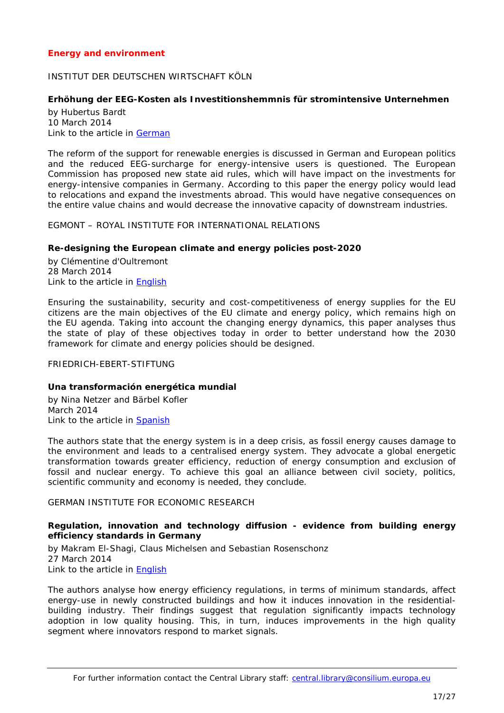## <span id="page-16-0"></span>*Energy and environment*

## <span id="page-16-1"></span>INSTITUT DER DEUTSCHEN WIRTSCHAFT KÖLN

## <span id="page-16-2"></span>**Erhöhung der EEG-Kosten als Investitionshemmnis für stromintensive Unternehmen**

by Hubertus Bardt 10 March 2014 Link to the article in [German](http://www.etracker.de/lnkcnt.php?et=lKbSM9&url=http%3A%2F%2Fwww.iwkoeln.de%2F_storage%2Fasset%2F148374%2Fstorage%2Fmaster%2Ffile%2F4222735%2Fdownload%2FIW%2520policy%2520paper%2520Investitionen%2520energieintensive%2520Unternehmen.pdf&lnkname=IW%20policy%20paper%20Investitionen%20energieintensive%20Unternehmen.pdf)

The reform of the support for renewable energies is discussed in German and European politics and the reduced EEG-surcharge for energy-intensive users is questioned. The European Commission has proposed new state aid rules, which will have impact on the investments for energy-intensive companies in Germany. According to this paper the energy policy would lead to relocations and expand the investments abroad. This would have negative consequences on the entire value chains and would decrease the innovative capacity of downstream industries.

<span id="page-16-3"></span>EGMONT – ROYAL INSTITUTE FOR INTERNATIONAL RELATIONS

#### <span id="page-16-4"></span>**Re-designing the European climate and energy policies post-2020**

by Clémentine d'Oultremont 28 March 2014 Link to the article in **English** 

Ensuring the sustainability, security and cost-competitiveness of energy supplies for the EU citizens are the main objectives of the EU climate and energy policy, which remains high on the EU agenda. Taking into account the changing energy dynamics, this paper analyses thus the state of play of these objectives today in order to better understand how the 2030 framework for climate and energy policies should be designed.

#### <span id="page-16-5"></span>FRIEDRICH-EBERT-STIFTUNG

#### <span id="page-16-6"></span>**Una transformación energética mundial**

by Nina Netzer and Bärbel Kofler March 2014 Link to the article in [Spanish](http://library.fes.de/pdf-files/iez/10609-20140408.pdf)

The authors state that the energy system is in a deep crisis, as fossil energy causes damage to the environment and leads to a centralised energy system. They advocate a global energetic transformation towards greater efficiency, reduction of energy consumption and exclusion of fossil and nuclear energy. To achieve this goal an alliance between civil society, politics, scientific community and economy is needed, they conclude.

#### <span id="page-16-8"></span><span id="page-16-7"></span>GERMAN INSTITUTE FOR ECONOMIC RESEARCH

## **Regulation, innovation and technology diffusion - evidence from building energy efficiency standards in Germany**

by Makram El-Shagi, Claus Michelsen and Sebastian Rosenschonz 27 March 2014 Link to the article in [English](http://www.diw.de/documents/publikationen/73/diw_01.c.441357.de/dp1371.pdf)

The authors analyse how energy efficiency regulations, in terms of minimum standards, affect energy-use in newly constructed buildings and how it induces innovation in the residentialbuilding industry. Their findings suggest that regulation significantly impacts technology adoption in low quality housing. This, in turn, induces improvements in the high quality segment where innovators respond to market signals.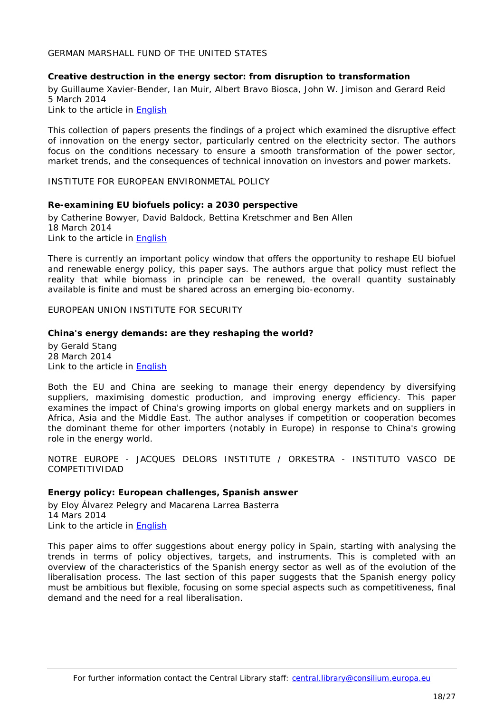#### <span id="page-17-0"></span>GERMAN MARSHALL FUND OF THE UNITED STATES

#### <span id="page-17-1"></span>**Creative destruction in the energy sector: from disruption to transformation**

by Guillaume Xavier-Bender, Ian Muir, Albert Bravo Biosca, John W. Jimison and Gerard Reid 5 March 2014

Link to the article in [English](http://www.gmfus.org/wp-content/blogs.dir/1/files_mf/1393622659JimisonEtAl_CreativeDestruction_Mar14_web.pdf)

This collection of papers presents the findings of a project which examined the disruptive effect of innovation on the energy sector, particularly centred on the electricity sector. The authors focus on the conditions necessary to ensure a smooth transformation of the power sector, market trends, and the consequences of technical innovation on investors and power markets.

<span id="page-17-3"></span><span id="page-17-2"></span>INSTITUTE FOR EUROPEAN ENVIRONMETAL POLICY

#### **Re-examining EU biofuels policy: a 2030 perspective**

by Catherine Bowyer, David Baldock, Bettina Kretschmer and Ben Allen 18 March 2014 Link to the article in [English](http://www.ieep.eu/assets/1359/IEEP_re-examining_EU_biofuels_policy_-_A_2030_perspective.pdf)

There is currently an important policy window that offers the opportunity to reshape EU biofuel and renewable energy policy, this paper says. The authors argue that policy must reflect the reality that while biomass in principle can be renewed, the overall quantity sustainably available is finite and must be shared across an emerging bio-economy.

<span id="page-17-4"></span>EUROPEAN UNION INSTITUTE FOR SECURITY

#### <span id="page-17-5"></span>**China's energy demands: are they reshaping the world?**

by Gerald Stang 28 March 2014 Link to the article in [English](http://www.iss.europa.eu/uploads/media/Brief_12_China_energy.pdf)

Both the EU and China are seeking to manage their energy dependency by diversifying suppliers, maximising domestic production, and improving energy efficiency. This paper examines the impact of China's growing imports on global energy markets and on suppliers in Africa, Asia and the Middle East. The author analyses if competition or cooperation becomes the dominant theme for other importers (notably in Europe) in response to China's growing role in the energy world.

<span id="page-17-6"></span>NOTRE EUROPE - JACQUES DELORS INSTITUTE / ORKESTRA - INSTITUTO VASCO DE COMPETITIVIDAD

#### <span id="page-17-7"></span>**Energy policy: European challenges, Spanish answer**

by Eloy Álvarez Pelegry and Macarena Larrea Basterra 14 Mars 2014 Link to the article in [English](http://www.eng.notre-europe.eu/media/energyeuandspain-alvarez-larrea-ne-jdi-mar14.pdf)

This paper aims to offer suggestions about energy policy in Spain, starting with analysing the trends in terms of policy objectives, targets, and instruments. This is completed with an overview of the characteristics of the Spanish energy sector as well as of the evolution of the liberalisation process. The last section of this paper suggests that the Spanish energy policy must be ambitious but flexible, focusing on some special aspects such as competitiveness, final demand and the need for a real liberalisation.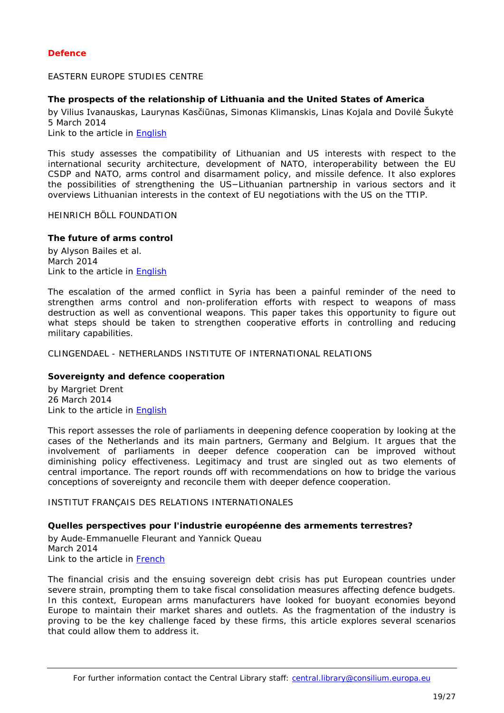## <span id="page-18-0"></span>*Defence*

<span id="page-18-1"></span>EASTERN EUROPE STUDIES CENTRE

# <span id="page-18-2"></span>**The prospects of the relationship of Lithuania and the United States of America**

by Vilius Ivanauskas, Laurynas Kasčiūnas, Simonas Klimanskis, Linas Kojala and Dovilė Šukytė 5 March 2014

Link to the article in [English](http://www.eesc.lt/uploads/news/id707/Prospects_Relationship_LTUandUSA.pdf)

This study assesses the compatibility of Lithuanian and US interests with respect to the international security architecture, development of NATO, interoperability between the EU CSDP and NATO, arms control and disarmament policy, and missile defence. It also explores the possibilities of strengthening the US−Lithuanian partnership in various sectors and it overviews Lithuanian interests in the context of EU negotiations with the US on the TTIP.

<span id="page-18-3"></span>HEINRICH BÖLL FOUNDATION

## <span id="page-18-4"></span>**The future of arms control**

by Alyson Bailes et al. March 2014 Link to the article in **English** 

The escalation of the armed conflict in Syria has been a painful reminder of the need to strengthen arms control and non-proliferation efforts with respect to weapons of mass destruction as well as conventional weapons. This paper takes this opportunity to figure out what steps should be taken to strengthen cooperative efforts in controlling and reducing military capabilities.

<span id="page-18-6"></span><span id="page-18-5"></span>CLINGENDAEL - NETHERLANDS INSTITUTE OF INTERNATIONAL RELATIONS

## **Sovereignty and defence cooperation**

by [Margriet Drent](http://www.clingendael.nl/person/margriet-drent) 26 March 2014 Link to the article in [English](http://www.clingendael.nl/sites/default/files/Clingendael%20Report%20-%20Sovereignty%20and%20Defence%20Cooperation.pdf)

This report assesses the role of parliaments in deepening defence cooperation by looking at the cases of the Netherlands and its main partners, Germany and Belgium. It argues that the involvement of parliaments in deeper defence cooperation can be improved without diminishing policy effectiveness. *Legitimacy* and *trust* are singled out as two elements of central importance. The report rounds off with recommendations on how to bridge the various conceptions of sovereignty and reconcile them with deeper defence cooperation.

<span id="page-18-8"></span><span id="page-18-7"></span>INSTITUT FRANÇAIS DES RELATIONS INTERNATIONALES

## **Quelles perspectives pour l'industrie européenne des armements terrestres?**

by Aude-Emmanuelle Fleurant and Yannick Queau March 2014 Link to the article in [French](http://www.ifri.org/downloads/fs50fleurantqueau.pdf)

The financial crisis and the ensuing sovereign debt crisis has put European countries under severe strain, prompting them to take fiscal consolidation measures affecting defence budgets. In this context, European arms manufacturers have looked for buoyant economies beyond Europe to maintain their market shares and outlets. As the fragmentation of the industry is proving to be the key challenge faced by these firms, this article explores several scenarios that could allow them to address it.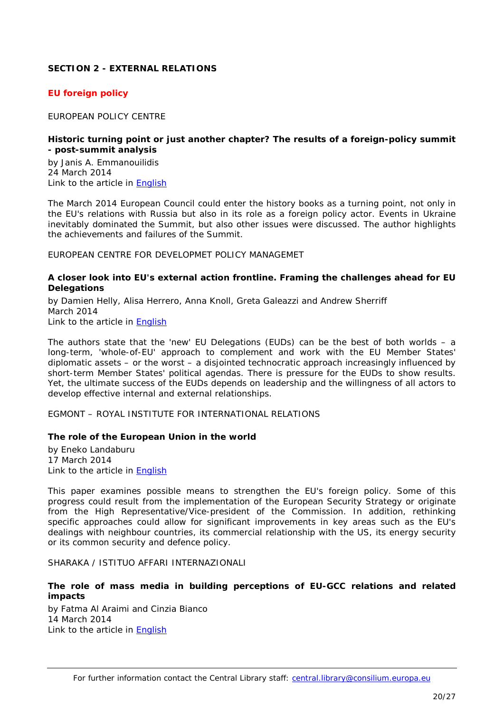# <span id="page-19-0"></span>**SECTION 2 - EXTERNAL RELATIONS**

## <span id="page-19-1"></span>*EU foreign policy*

<span id="page-19-2"></span>EUROPEAN POLICY CENTRE

#### <span id="page-19-3"></span>**Historic turning point or just another chapter? The results of a foreign-policy summit - post-summit analysis**

by Janis A. Emmanouilidis 24 March 2014 Link to the article in [English](http://www.epc.eu/documents/uploads/pub_4292_post-summit_analysis_-_24_march_2014.pdf)

The March 2014 European Council could enter the history books as a turning point, not only in the EU's relations with Russia but also in its role as a foreign policy actor. Events in Ukraine inevitably dominated the Summit, but also other issues were discussed. The author highlights the achievements and failures of the Summit.

<span id="page-19-4"></span>EUROPEAN CENTRE FOR DEVELOPMET POLICY MANAGEMET

## <span id="page-19-5"></span>**A closer look into EU's external action frontline. Framing the challenges ahead for EU Delegations**

by Damien Helly, Alisa Herrero, Anna Knoll, Greta Galeazzi and Andrew Sherriff March 2014 Link to the article in [English](http://www.ecdpm.org/Web_ECDPM/Web/Content/Download.nsf/0/081F2B267CABBB82C1257C8C00504621/$FILE/BN62_Framing%20the%20challenges%20ahead%20for%20EU%20Delegations_March%202014.pdf?bcsi_scan_dd8016818d07334e=0&bcsi_scan_filename=BN62_Framing%20the%20challenges%20ahead%20for%20EU%20Delegations_March%202014.pdf)

The authors state that the 'new' EU Delegations (EUDs) can be the best of both worlds – a long-term, 'whole-of-EU' approach to complement and work with the EU Member States' diplomatic assets – or the worst – a disjointed technocratic approach increasingly influenced by short-term Member States' political agendas. There is pressure for the EUDs to show results. Yet, the ultimate success of the EUDs depends on leadership and the willingness of all actors to develop effective internal and external relationships.

<span id="page-19-6"></span>EGMONT – ROYAL INSTITUTE FOR INTERNATIONAL RELATIONS

## <span id="page-19-7"></span>**The role of the European Union in the world**

by Eneko Landaburu 17 March 2014 Link to the article in [English](http://www.egmontinstitute.be/wp-content/uploads/2014/03/EPB22-ENG-def.pdf)

This paper examines possible means to strengthen the EU's foreign policy. Some of this progress could result from the implementation of the European Security Strategy or originate from the High Representative/Vice-president of the Commission. In addition, rethinking specific approaches could allow for significant improvements in key areas such as the EU's dealings with neighbour countries, its commercial relationship with the US, its energy security or its common security and defence policy.

<span id="page-19-8"></span>SHARAKA / ISTITUO AFFARI INTERNAZIONALI

## <span id="page-19-9"></span>**The role of mass media in building perceptions of EU-GCC relations and related impacts**

by Fatma Al Araimi and Cinzia Bianco 14 March 2014 Link to the article in [English](http://www.iai.it/pdf/Sharaka/Sharaka_RP_09.pdf)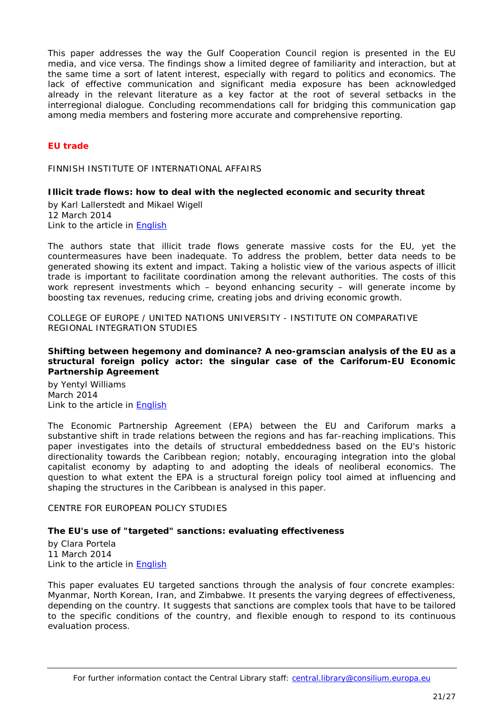This paper addresses the way the Gulf Cooperation Council region is presented in the EU media, and vice versa. The findings show a limited degree of familiarity and interaction, but at the same time a sort of latent interest, especially with regard to politics and economics. The lack of effective communication and significant media exposure has been acknowledged already in the relevant literature as a key factor at the root of several setbacks in the interregional dialogue. Concluding recommendations call for bridging this communication gap among media members and fostering more accurate and comprehensive reporting.

# <span id="page-20-0"></span>*EU trade*

<span id="page-20-2"></span><span id="page-20-1"></span>FINNISH INSTITUTE OF INTERNATIONAL AFFAIRS

## **Illicit trade flows: how to deal with the neglected economic and security threat**

by Karl Lallerstedt and Mikael Wigell 12 March 2014 Link to the article in [English](http://www.fiia.fi/assets/publications/bp151.pdf)

The authors state that illicit trade flows generate massive costs for the EU, yet the countermeasures have been inadequate. To address the problem, better data needs to be generated showing its extent and impact. Taking a holistic view of the various aspects of illicit trade is important to facilitate coordination among the relevant authorities. The costs of this work represent investments which – beyond enhancing security – will generate income by boosting tax revenues, reducing crime, creating jobs and driving economic growth.

<span id="page-20-3"></span>COLLEGE OF EUROPE / UNITED NATIONS UNIVERSITY - INSTITUTE ON COMPARATIVE REGIONAL INTEGRATION STUDIES

#### <span id="page-20-4"></span>**Shifting between hegemony and dominance? A neo-gramscian analysis of the EU as a structural foreign policy actor: the singular case of the Cariforum-EU Economic Partnership Agreement**

by Yentyl Williams March 2014 Link to the article in **English** 

The Economic Partnership Agreement (EPA) between the EU and Cariforum marks a substantive shift in trade relations between the regions and has far-reaching implications. This paper investigates into the details of structural embeddedness based on the EU's historic directionality towards the Caribbean region; notably, encouraging integration into the global capitalist economy by adapting to and adopting the ideals of neoliberal economics. The question to what extent the EPA is a structural foreign policy tool aimed at influencing and shaping the structures in the Caribbean is analysed in this paper.

## <span id="page-20-5"></span>CENTRE FOR EUROPEAN POLICY STUDIES

## <span id="page-20-6"></span>**The EU's use of "targeted" sanctions: evaluating effectiveness**

by Clara Portela 11 March 2014 Link to the article in [English](http://www.ceps.be/ceps/dld/9016/pdf)

This paper evaluates EU targeted sanctions through the analysis of four concrete examples: Myanmar, North Korean, Iran, and Zimbabwe. It presents the varying degrees of effectiveness, depending on the country. It suggests that sanctions are complex tools that have to be tailored to the specific conditions of the country, and flexible enough to respond to its continuous evaluation process.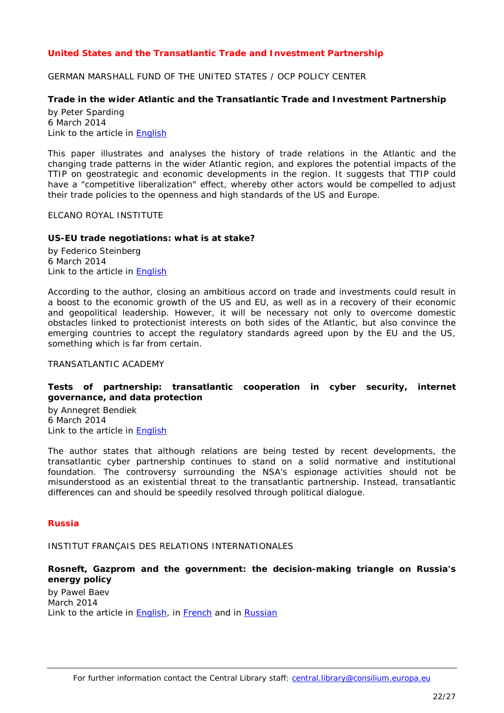# <span id="page-21-0"></span>*United States and the Transatlantic Trade and Investment Partnership*

<span id="page-21-1"></span>GERMAN MARSHALL FUND OF THE UNITED STATES / OCP POLICY CENTER

## <span id="page-21-2"></span>**Trade in the wider Atlantic and the Transatlantic Trade and Investment Partnership**

by Peter Sparding 6 March 2014 Link to the article in [English](http://www.gmfus.org/wp-content/blogs.dir/1/files_mf/1394136509Sparding_WiderAtlanticTrade_Feb14_web.pdf)

This paper illustrates and analyses the history of trade relations in the Atlantic and the changing trade patterns in the wider Atlantic region, and explores the potential impacts of the TTIP on geostrategic and economic developments in the region. It suggests that TTIP could have a "competitive liberalization" effect, whereby other actors would be compelled to adjust their trade policies to the openness and high standards of the US and Europe.

<span id="page-21-3"></span>ELCANO ROYAL INSTITUTE

#### <span id="page-21-4"></span>**US-EU trade negotiations: what is at stake?**

by Federico Steinberg 6 March 2014 Link to the article in **English** 

According to the author, closing an ambitious accord on trade and investments could result in a boost to the economic growth of the US and EU, as well as in a recovery of their economic and geopolitical leadership. However, it will be necessary not only to overcome domestic obstacles linked to protectionist interests on both sides of the Atlantic, but also convince the emerging countries to accept the regulatory standards agreed upon by the EU and the US, something which is far from certain.

#### <span id="page-21-5"></span>TRANSATLANTIC ACADEMY

## <span id="page-21-6"></span>**Tests of partnership: transatlantic cooperation in cyber security, internet governance, and data protection**

by Annegret Bendiek 6 March 2014 Link to the article in [English](http://www.gmfus.org/wp-content/blogs.dir/1/files_mf/1392931586Bendiek_TestsofPartnership_Feb14_web.pdf)

The author states that although relations are being tested by recent developments, the transatlantic cyber partnership continues to stand on a solid normative and institutional foundation. The controversy surrounding the NSA's espionage activities should not be misunderstood as an existential threat to the transatlantic partnership. Instead, transatlantic differences can and should be speedily resolved through political dialogue.

#### <span id="page-21-7"></span>*Russia*

<span id="page-21-8"></span>INSTITUT FRANÇAIS DES RELATIONS INTERNATIONALES

## <span id="page-21-9"></span>**Rosneft, Gazprom and the government: the decision-making triangle on Russia's energy policy**

by Pawel Baev March 2014 Link to the article in [English,](http://www.ifri.org/downloads/ifrirnv75pbaevenergyengmarch2014.pdf) in [French](http://www.ifri.org/downloads/ifrirnv75pbaevenergiefrmars2014.pdf) and in [Russian](http://www.ifri.org/downloads/ifrirnv75pbaevenergyrumarch2014.pdf)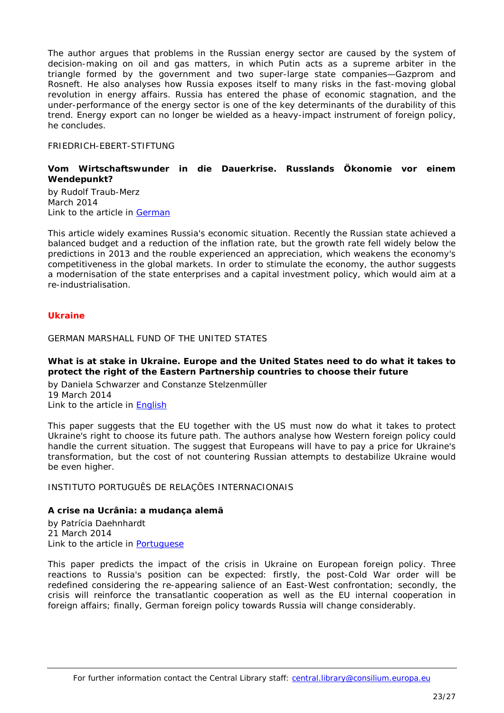The author argues that problems in the Russian energy sector are caused by the system of decision-making on oil and gas matters, in which Putin acts as a supreme arbiter in the triangle formed by the government and two super-large state companies—*Gazprom* and *Rosneft*. He also analyses how Russia exposes itself to many risks in the fast-moving global revolution in energy affairs. Russia has entered the phase of economic stagnation, and the under-performance of the energy sector is one of the key determinants of the durability of this trend. Energy export can no longer be wielded as a heavy-impact instrument of foreign policy, he concludes.

## <span id="page-22-0"></span>FRIEDRICH-EBERT-STIFTUNG

## <span id="page-22-1"></span>**Vom Wirtschaftswunder in die Dauerkrise. Russlands Ökonomie vor einem Wendepunkt?**

by Rudolf Traub-Merz March 2014 Link to the article in [German](http://library.fes.de/pdf-files/id-moe/10603.pdf)

This article widely examines Russia's economic situation. Recently the Russian state achieved a balanced budget and a reduction of the inflation rate, but the growth rate fell widely below the predictions in 2013 and the rouble experienced an appreciation, which weakens the economy's competitiveness in the global markets. In order to stimulate the economy, the author suggests a modernisation of the state enterprises and a capital investment policy, which would aim at a re-industrialisation.

#### <span id="page-22-3"></span><span id="page-22-2"></span>*Ukraine*

<span id="page-22-4"></span>GERMAN MARSHALL FUND OF THE UNITED STATES

## **What is at stake in Ukraine. Europe and the United States need to do what it takes to protect the right of the Eastern Partnership countries to choose their future**

by Daniela Schwarzer and Constanze Stelzenmüller 19 March 2014 I ink to the article in **English** 

This paper suggests that the EU together with the US must now do what it takes to protect Ukraine's right to choose its future path. The authors analyse how Western foreign policy could handle the current situation. The suggest that Europeans will have to pay a price for Ukraine's transformation, but the cost of not countering Russian attempts to destabilize Ukraine would be even higher.

<span id="page-22-6"></span><span id="page-22-5"></span>INSTITUTO PORTUGUÊS DE RELAÇÕES INTERNACIONAIS

## **A crise na Ucrânia: a mudança alemã**

by Patrícia Daehnhardt 21 March 2014 Link to the article in [Portuguese](http://www.ipri.pt/publicacoes/working_paper/pdf/OP57_UCranica_PD_240314.pdf)

This paper predicts the impact of the crisis in Ukraine on European foreign policy. Three reactions to Russia's position can be expected: firstly, the post-Cold War order will be redefined considering the re-appearing salience of an East-West confrontation; secondly, the crisis will reinforce the transatlantic cooperation as well as the EU internal cooperation in foreign affairs; finally, German foreign policy towards Russia will change considerably.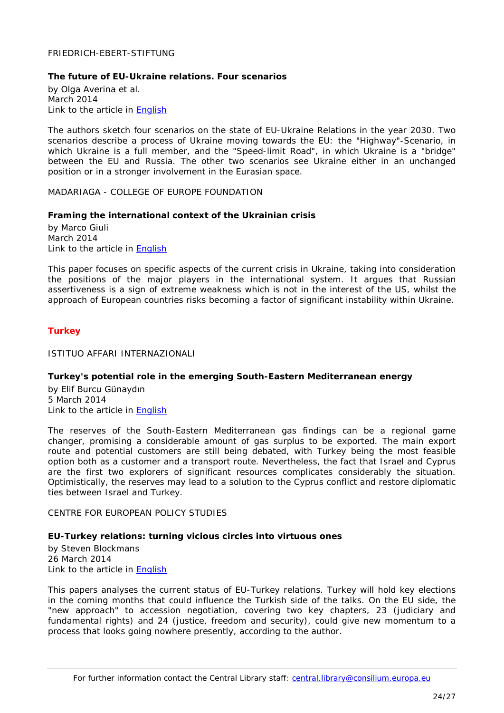#### <span id="page-23-0"></span>FRIEDRICH-EBERT-STIFTUNG

#### <span id="page-23-1"></span>**The future of EU-Ukraine relations. Four scenarios**

by Olga Averina et al. March 2014 Link to the article in [English](http://library.fes.de/pdf-files/id-moe/10608.pdf)

The authors sketch four scenarios on the state of EU-Ukraine Relations in the year 2030. Two scenarios describe a process of Ukraine moving towards the EU: the "Highway"-Scenario, in which Ukraine is a full member, and the "Speed-limit Road", in which Ukraine is a "bridge" between the EU and Russia. The other two scenarios see Ukraine either in an unchanged position or in a stronger involvement in the Eurasian space.

<span id="page-23-2"></span>MADARIAGA - COLLEGE OF EUROPE FOUNDATION

#### <span id="page-23-3"></span>**Framing the international context of the Ukrainian crisis**

by Marco Giuli March 2014 Link to the article in [English](http://www.madariaga.org/images/madariagapapers/march-2014%20giuli%20-%20framing%20the%20international%20context%20of%20the%20ukrainian%20crisis.pdf)

This paper focuses on specific aspects of the current crisis in Ukraine, taking into consideration the positions of the major players in the international system. It argues that Russian assertiveness is a sign of extreme weakness which is not in the interest of the US, whilst the approach of European countries risks becoming a factor of significant instability within Ukraine.

## <span id="page-23-5"></span><span id="page-23-4"></span>*Turkey*

<span id="page-23-6"></span>ISTITUO AFFARI INTERNAZIONALI

## **Turkey's potential role in the emerging South-Eastern Mediterranean energy**

by Elif Burcu Günaydın 5 March 2014 Link to the article in [English](http://www.iai.it/pdf/DocIAI/iaiwp1405.pdf)

The reserves of the South-Eastern Mediterranean gas findings can be a regional game changer, promising a considerable amount of gas surplus to be exported. The main export route and potential customers are still being debated, with Turkey being the most feasible option both as a customer and a transport route. Nevertheless, the fact that Israel and Cyprus are the first two explorers of significant resources complicates considerably the situation. Optimistically, the reserves may lead to a solution to the Cyprus conflict and restore diplomatic ties between Israel and Turkey.

<span id="page-23-8"></span><span id="page-23-7"></span>CENTRE FOR EUROPEAN POLICY STUDIES

#### **EU-Turkey relations: turning vicious circles into virtuous ones**

by Steven Blockmans 26 March 2014 Link to the article in [English](http://www.ceps.be/ceps/dld/9096/pdf)

This papers analyses the current status of EU-Turkey relations. Turkey will hold key elections in the coming months that could influence the Turkish side of the talks. On the EU side, the "new approach" to accession negotiation, covering two key chapters, 23 (judiciary and fundamental rights) and 24 (justice, freedom and security), could give new momentum to a process that looks going nowhere presently, according to the author.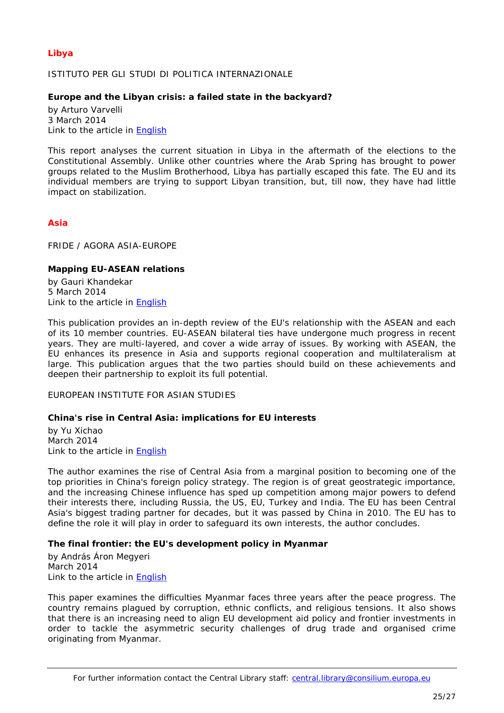# <span id="page-24-1"></span><span id="page-24-0"></span>*Libya*

## ISTITUTO PER GLI STUDI DI POLITICA INTERNAZIONALE

## <span id="page-24-2"></span>**Europe and the Libyan crisis: a failed state in the backyard?**

by Arturo Varvelli 3 March 2014 Link to the article in [English](http://www.ispionline.it/sites/default/files/pubblicazioni/analysis__237_2014_0.pdf)

This report analyses the current situation in Libya in the aftermath of the elections to the Constitutional Assembly. Unlike other countries where the Arab Spring has brought to power groups related to the Muslim Brotherhood, Libya has partially escaped this fate. The EU and its individual members are trying to support Libyan transition, but, till now, they have had little impact on stabilization.

## <span id="page-24-3"></span>*Asia*

<span id="page-24-4"></span>FRIDE / AGORA ASIA-EUROPE

## <span id="page-24-5"></span>**Mapping EU-ASEAN relations**

by Gauri Khandekar 5 March 2014 Link to the article in [English](http://www.fride.org/download/Mapping_EU_ASEAN_Relations.pdf)

This publication provides an in-depth review of the EU's relationship with the ASEAN and each of its 10 member countries. EU-ASEAN bilateral ties have undergone much progress in recent years. They are multi-layered, and cover a wide array of issues. By working with ASEAN, the EU enhances its presence in Asia and supports regional cooperation and multilateralism at large. This publication argues that the two parties should build on these achievements and deepen their partnership to exploit its full potential.

## <span id="page-24-6"></span>EUROPEAN INSTITUTE FOR ASIAN STUDIES

## <span id="page-24-7"></span>**China's rise in Central Asia: implications for EU interests**

by Yu Xichao March 2014 Link to the article in [English](http://www.eias.org/sites/default/files/EU-Asia-at-a-glance-Yu_Xichao-China-Central-Asia.pdf)

The author examines the rise of Central Asia from a marginal position to becoming one of the top priorities in China's foreign policy strategy. The region is of great geostrategic importance, and the increasing Chinese influence has sped up competition among major powers to defend their interests there, including Russia, the US, EU, Turkey and India. The EU has been Central Asia's biggest trading partner for decades, but it was passed by China in 2010. The EU has to define the role it will play in order to safeguard its own interests, the author concludes.

## <span id="page-24-8"></span>**The final frontier: the EU's development policy in Myanmar**

by András Áron Megyeri March 2014 Link to the article in **English** 

This paper examines the difficulties Myanmar faces three years after the peace progress. The country remains plagued by corruption, ethnic conflicts, and religious tensions. It also shows that there is an increasing need to align EU development aid policy and frontier investments in order to tackle the asymmetric security challenges of drug trade and organised crime originating from Myanmar.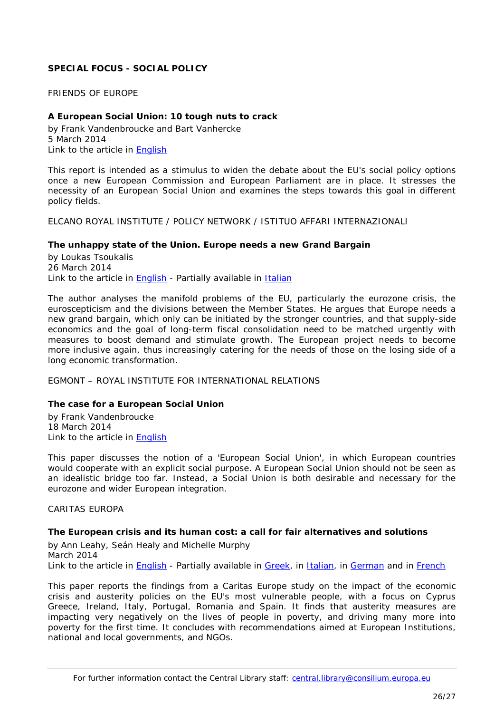# <span id="page-25-0"></span>**SPECIAL FOCUS - SOCIAL POLICY**

<span id="page-25-1"></span>FRIENDS OF EUROPE

## <span id="page-25-2"></span>**A European Social Union: 10 tough nuts to crack**

by Frank Vandenbroucke and Bart Vanhercke 5 March 2014 Link to the article in [English](http://www.friendsofeurope.org/Portals/13/Events/WorkingGroups/Social_Europe/03_03_14_Report_SocialUnion_FINAL_V.pdf)

This report is intended as a stimulus to widen the debate about the EU's social policy options once a new European Commission and European Parliament are in place. It stresses the necessity of an European Social Union and examines the steps towards this goal in different policy fields.

<span id="page-25-4"></span><span id="page-25-3"></span>ELCANO ROYAL INSTITUTE / POLICY NETWORK / ISTITUO AFFARI INTERNAZIONALI

## **The unhappy state of the Union. Europe needs a new Grand Bargain**

by Loukas Tsoukalis 26 March 2014 Link to the article in **English** - Partially available in **Italian** 

The author analyses the manifold problems of the EU, particularly the eurozone crisis, the euroscepticism and the divisions between the Member States. He argues that Europe needs a new grand bargain, which only can be initiated by the stronger countries, and that supply-side economics and the goal of long-term fiscal consolidation need to be matched urgently with measures to boost demand and stimulate growth. The European project needs to become more inclusive again, thus increasingly catering for the needs of those on the losing side of a long economic transformation.

<span id="page-25-6"></span><span id="page-25-5"></span>EGMONT – ROYAL INSTITUTE FOR INTERNATIONAL RELATIONS

## **The case for a European Social Union**

by Frank Vandenbroucke 18 March 2014 Link to the article in [English](http://www.egmontinstitute.be/wp-content/uploads/2014/03/EPB-23.pdf)

This paper discusses the notion of a 'European Social Union', in which European countries would cooperate with an explicit social purpose. A European Social Union should not be seen as an idealistic bridge too far. Instead, a Social Union is both desirable and necessary for the eurozone and wider European integration.

#### <span id="page-25-7"></span>CARITAS EUROPA

## <span id="page-25-8"></span>**The European crisis and its human cost: a call for fair alternatives and solutions**

by Ann Leahy, Seán Healy and Michelle Murphy March 2014 Link to the article in **English** - Partially available in **Greek**, in [Italian,](http://www.caritas.eu/sites/default/files/caritascrisisreport_2013_it.pdf) in [German](http://www.caritas.eu/sites/default/files/caritascrisisreport_2013_de_.pdf) and in [French](http://www.caritas.eu/sites/default/files/caritascrisisreport_2013_fr.pdf)

This paper reports the findings from a Caritas Europe study on the impact of the economic crisis and austerity policies on the EU's most vulnerable people, with a focus on Cyprus Greece, Ireland, Italy, Portugal, Romania and Spain. It finds that austerity measures are impacting very negatively on the lives of people in poverty, and driving many more into poverty for the first time. It concludes with recommendations aimed at European Institutions, national and local governments, and NGOs.

For further information contact the Central Library staff: central.library@consilium.europa.eu